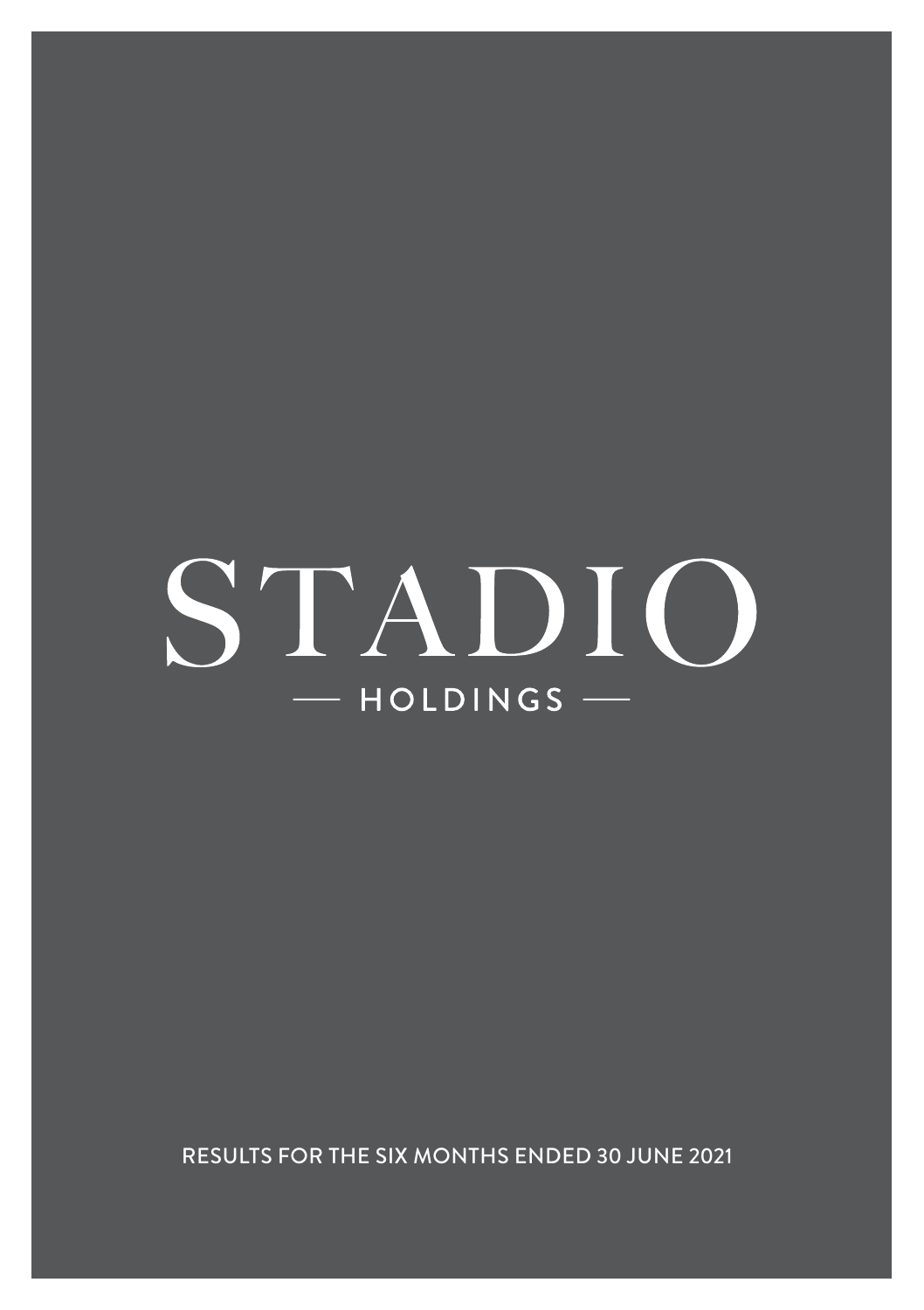# STADIO  $-$  HOLDINGS  $-$

RESULTS FOR THE SIX MONTHS ENDED 30 JUNE 2021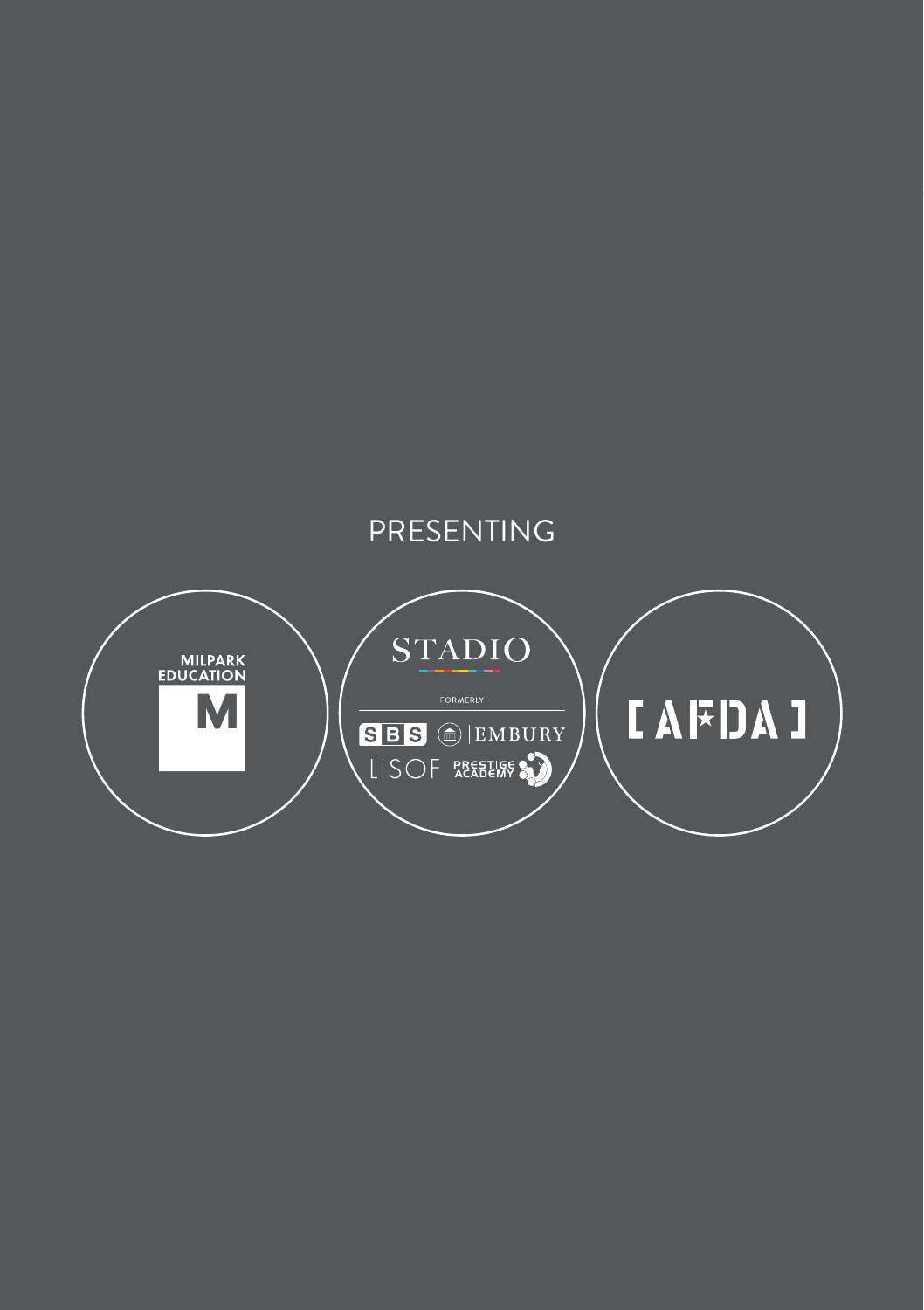### PRESENTING

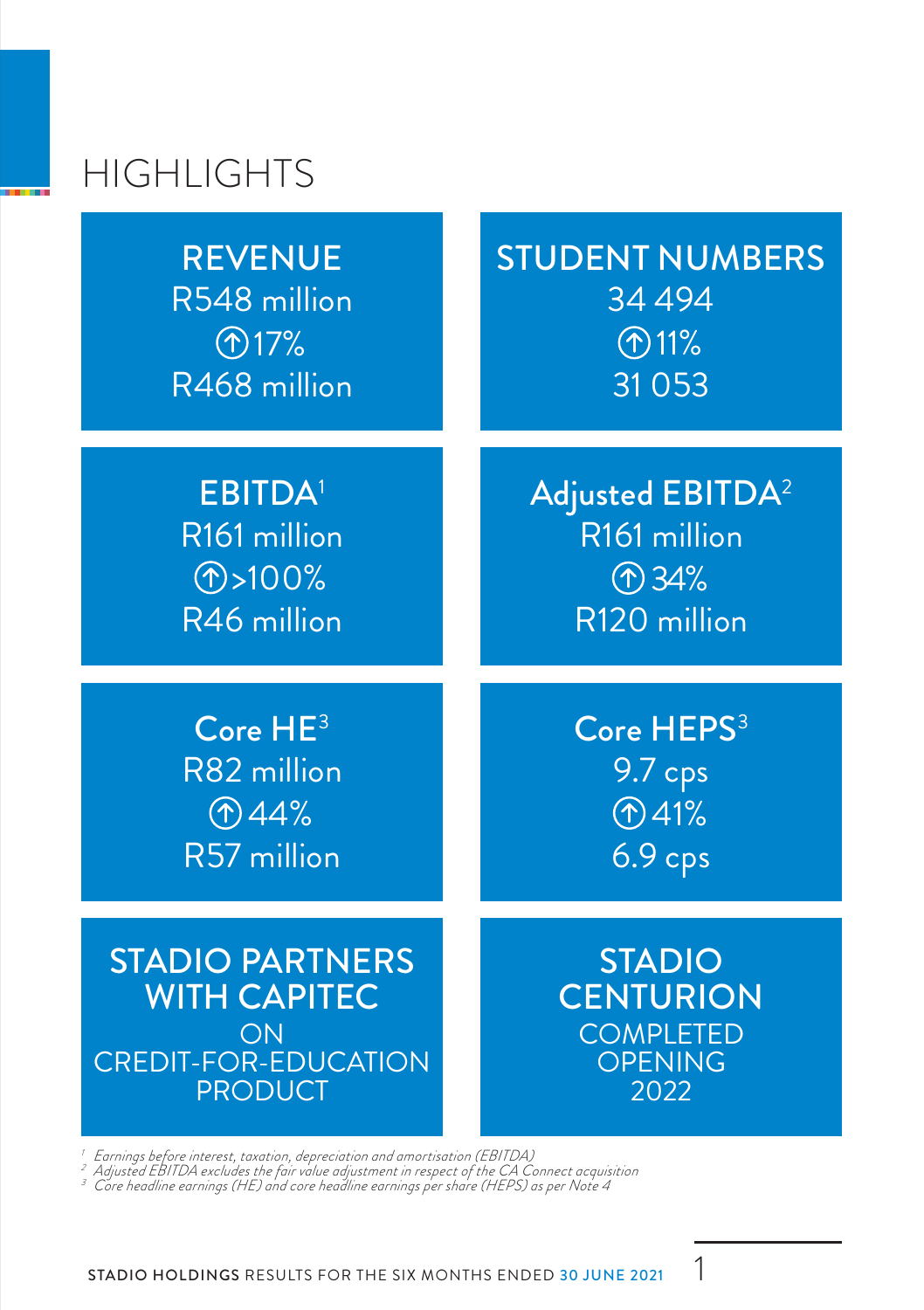# HIGHLIGHTS

**REVENUE** R548 million R468 million  $\bigcirc$  17%

STUDENT NUMBERS 34 494 31 053  $($ 11%

EBITDA<sup>1</sup> R161 million R46 million  $\circ$  >100%

Adjusted EBITDA<sup>2</sup> R161 million R120 million 34%

Core HE<sup>3</sup> R82 million R57 million  $$44%$ 

Core HEPS<sup>3</sup> 9.7 cps 6.9 cps 41%

STADIO PARTNERS WITH CAPITEC ON CREDIT-FOR-EDUCATION **PRODUCT** 

STADIO **CENTURION COMPLETED OPENING** 2022

Earnings before interest, taxation, depreciation and amortisation (EBITDA)<br>Adjusted EBITDA excludes the fair value adjustment in respect of the CA Connect acquisition<br>Core headline earnings (HE) and core headline earnings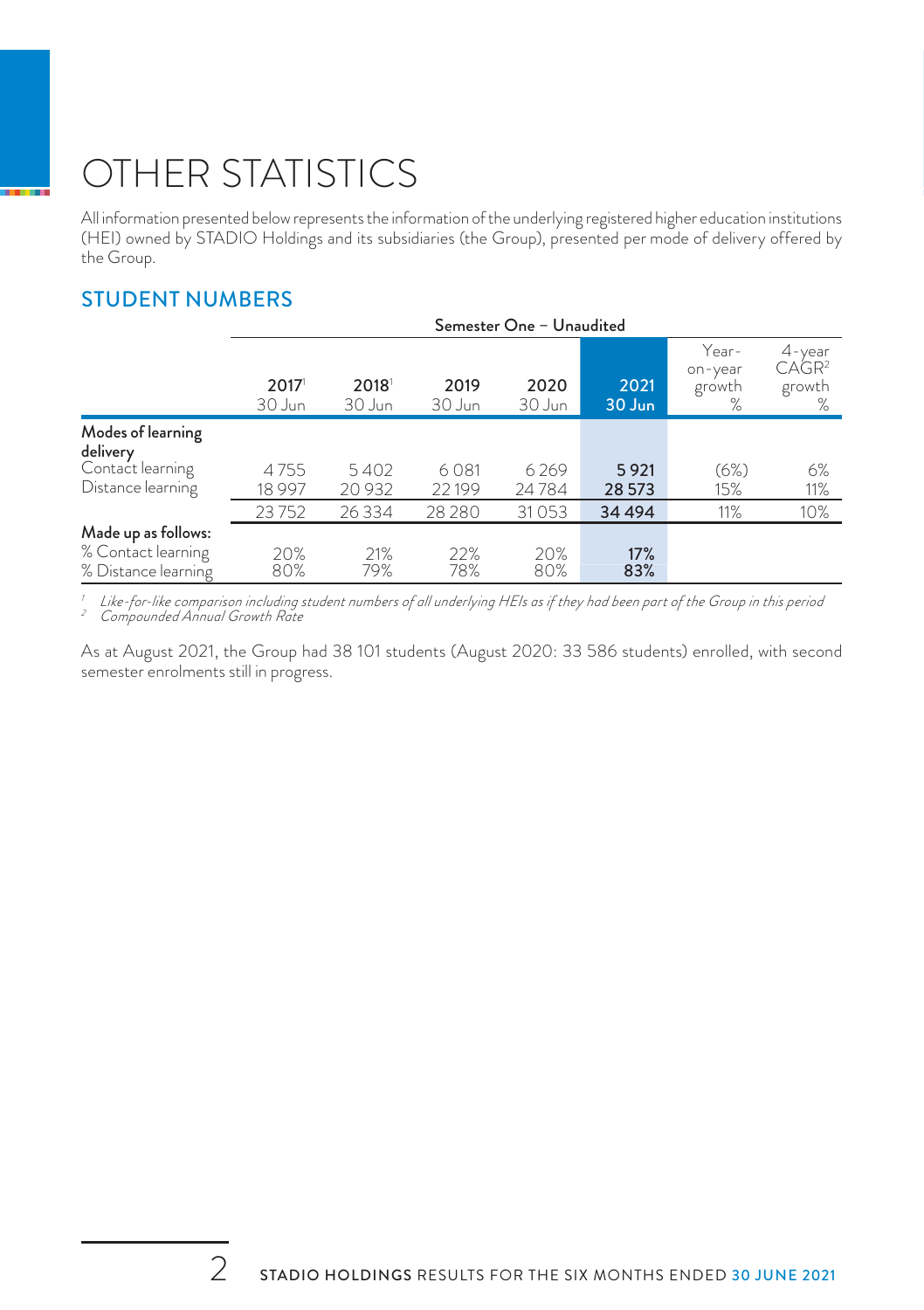# OTHER STATISTICS

All information presented below represents the information of the underlying registered higher education institutions (HEI) owned by STADIO Holdings and its subsidiaries (the Group), presented per mode of delivery offered by the Group.

#### STUDENT NUMBERS

|                               | Semester One - Unaudited |                |                |                |                |                                 |                                                  |
|-------------------------------|--------------------------|----------------|----------------|----------------|----------------|---------------------------------|--------------------------------------------------|
|                               | 2017<br>30 Jun           | 2018<br>30 Jun | 2019<br>30 Jun | 2020<br>30 Jun | 2021<br>30 Jun | Year-<br>on-year<br>growth<br>% | $4$ -year<br>CAGR <sup>2</sup><br>growth<br>$\%$ |
| Modes of learning<br>delivery |                          |                |                |                |                |                                 |                                                  |
| Contact learning              | 4755                     | 5402           | 6081           | 6269           | 5921           | (6%)                            | 6%                                               |
| Distance learning             | 18 9 97                  | 20 9 32        | 22199          | 24784          | 28 573         | 15%                             | 11%                                              |
|                               | 23752                    | 26 3 34        | 28 2 8 0       | 31053          | 34 4 94        | 11%                             | 10%                                              |
| Made up as follows:           |                          |                |                |                |                |                                 |                                                  |
| % Contact learning            | 20%                      | 21%            | 22%            | 20%            | 17%            |                                 |                                                  |
| % Distance learning           | 80%                      | 79%            | 78%            | 80%            | 83%            |                                 |                                                  |

*<sup>1</sup> Like-for-like comparison including student numbers of all underlying HEIs as if they had been part of the Group in this period <sup>2</sup> Compounded Annual Growth Rate*

As at August 2021, the Group had 38 101 students (August 2020: 33 586 students) enrolled, with second semester enrolments still in progress.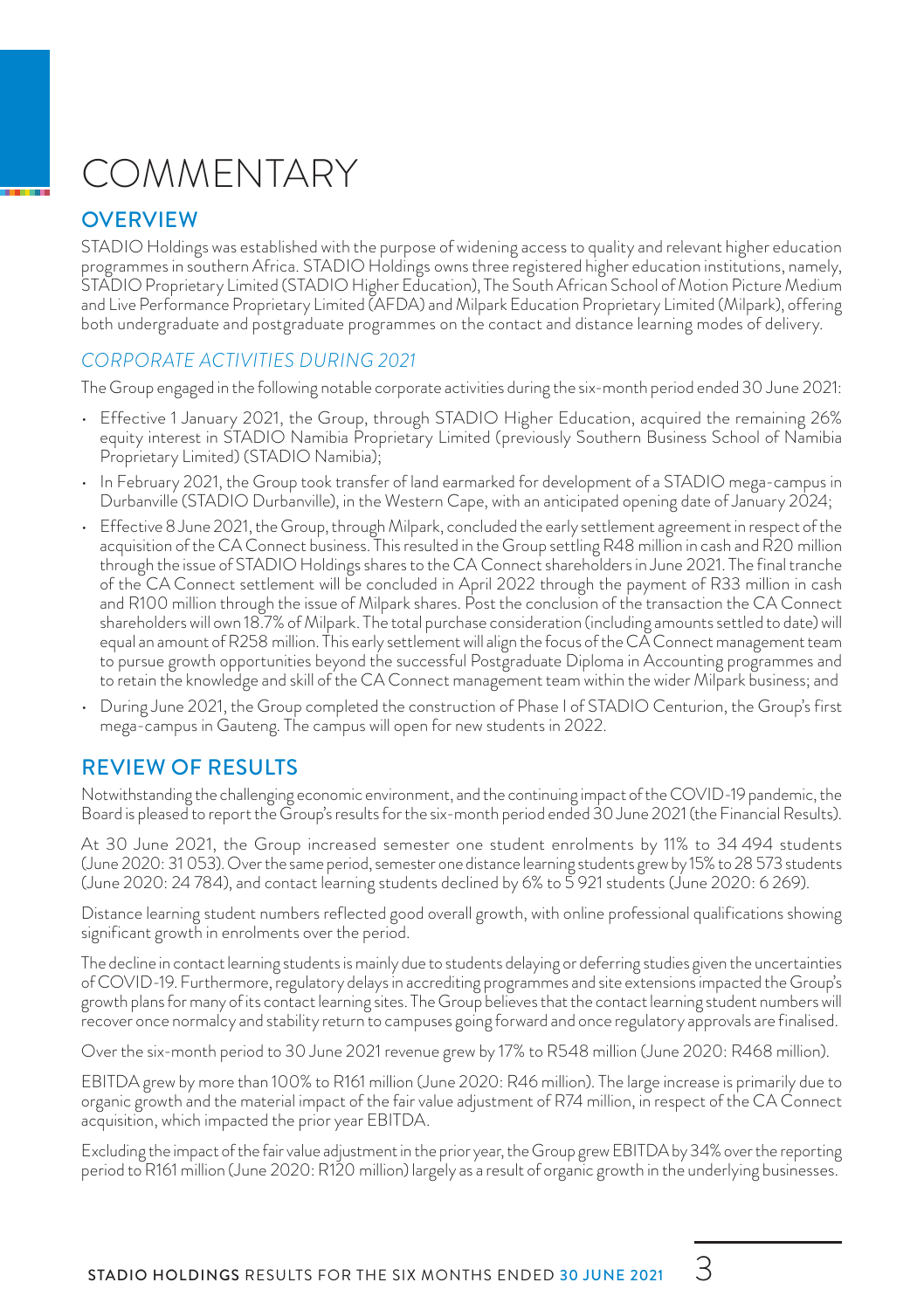# COMMENTARY

#### **OVERVIEW**

STADIO Holdings was established with the purpose of widening access to quality and relevant higher education programmes in southern Africa. STADIO Holdings owns three registered higher education institutions, namely, STADIO Proprietary Limited (STADIO Higher Education), The South African School of Motion Picture Medium and Live Performance Proprietary Limited (AFDA) and Milpark Education Proprietary Limited (Milpark), offering both undergraduate and postgraduate programmes on the contact and distance learning modes of delivery.

#### *CORPORATE ACTIVITIES DURING 2021*

The Group engaged in the following notable corporate activities during the six-month period ended 30 June 2021:

- Effective 1 January 2021, the Group, through STADIO Higher Education, acquired the remaining 26% equity interest in STADIO Namibia Proprietary Limited (previously Southern Business School of Namibia Proprietary Limited) (STADIO Namibia);
- In February 2021, the Group took transfer of land earmarked for development of a STADIO mega-campus in Durbanville (STADIO Durbanville), in the Western Cape, with an anticipated opening date of January 2024;
- Effective 8 June 2021, the Group, through Milpark, concluded the early settlement agreement in respect of the acquisition of the CA Connect business. This resulted in the Group settling R48 million in cash and R20 million through the issue of STADIO Holdings shares to the CA Connect shareholders in June 2021. The final tranche of the CA Connect settlement will be concluded in April 2022 through the payment of R33 million in cash and R100 million through the issue of Milpark shares. Post the conclusion of the transaction the CA Connect shareholders will own 18.7% of Milpark. The total purchase consideration (including amounts settled to date) will equal an amount of R258 million. This early settlement will align the focus of the CA Connect management team to pursue growth opportunities beyond the successful Postgraduate Diploma in Accounting programmes and to retain the knowledge and skill of the CA Connect management team within the wider Milpark business; and
- During June 2021, the Group completed the construction of Phase I of STADIO Centurion, the Group's first mega-campus in Gauteng. The campus will open for new students in 2022.

#### REVIEW OF RESULTS

Notwithstanding the challenging economic environment, and the continuing impact of the COVID-19 pandemic, the Board is pleased to report the Group's results for the six-month period ended 30 June 2021 (the Financial Results).

At 30 June 2021, the Group increased semester one student enrolments by 11% to 34 494 students (June 2020: 31 053). Over the same period, semester one distance learning students grew by 15% to 28 573 students (June 2020: 24 784), and contact learning students declined by 6% to 5 921 students (June 2020: 6 269).

Distance learning student numbers reflected good overall growth, with online professional qualifications showing significant growth in enrolments over the period.

The decline in contact learning students is mainly due to students delaying or deferring studies given the uncertainties of COVID-19. Furthermore, regulatory delays in accrediting programmes and site extensions impacted the Group's growth plans for many of its contact learning sites. The Group believes that the contact learning student numbers will recover once normalcy and stability return to campuses going forward and once regulatory approvals are finalised.

Over the six-month period to 30 June 2021 revenue grew by 17% to R548 million (June 2020: R468 million).

EBITDA grew by more than 100% to R161 million (June 2020: R46 million). The large increase is primarily due to organic growth and the material impact of the fair value adjustment of R74 million, in respect of the CA Connect acquisition, which impacted the prior year EBITDA.

Excluding the impact of the fair value adjustment in the prior year, the Group grew EBITDA by 34% over the reporting period to R161 million (June 2020: R120 million) largely as a result of organic growth in the underlying businesses.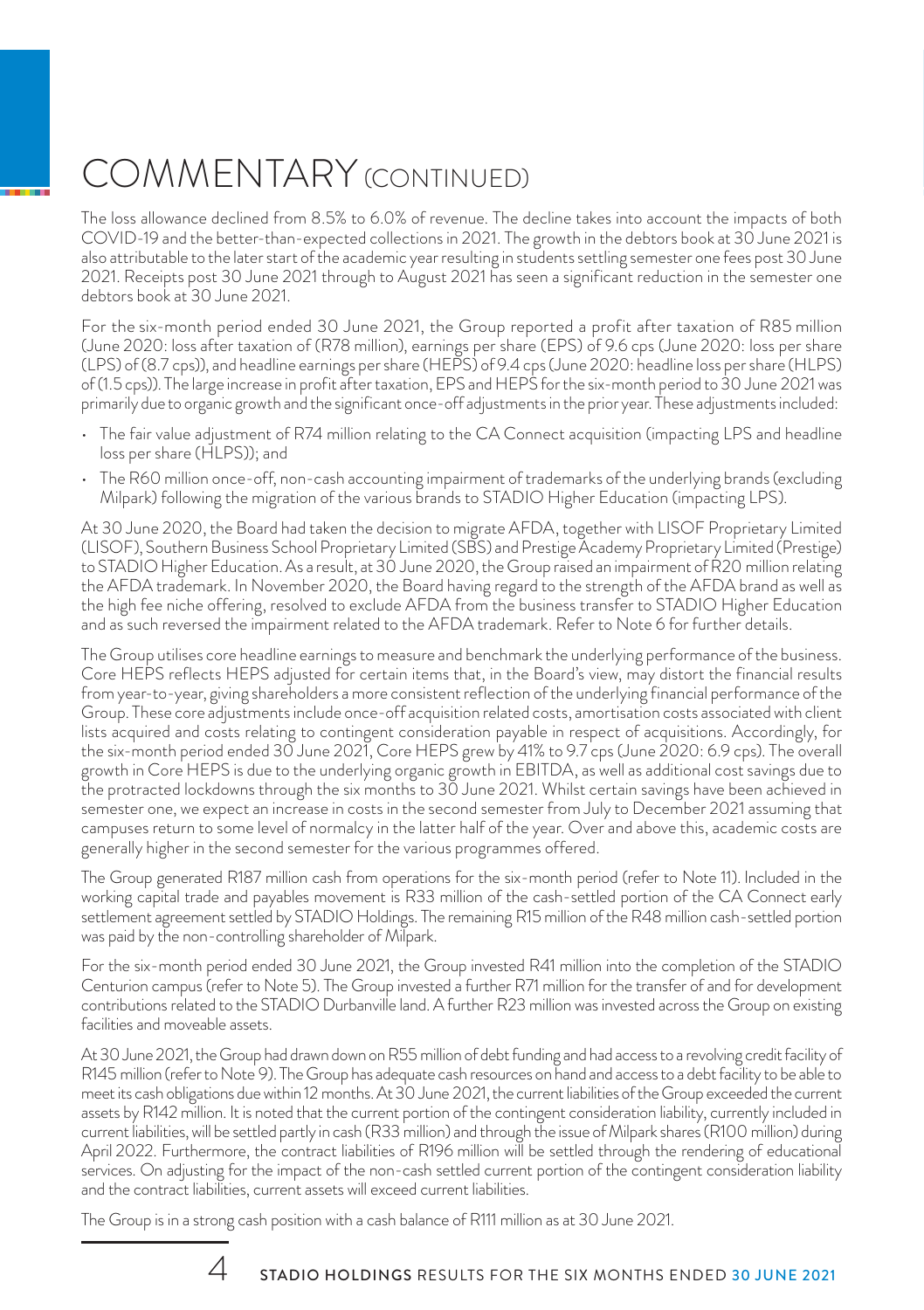# COMMENTARY (CONTINUED)

The loss allowance declined from 8.5% to 6.0% of revenue. The decline takes into account the impacts of both COVID-19 and the better-than-expected collections in 2021. The growth in the debtors book at 30 June 2021 is also attributable to the later start of the academic year resulting in students settling semester one fees post 30 June 2021. Receipts post 30 June 2021 through to August 2021 has seen a significant reduction in the semester one debtors book at 30 June 2021.

For the six-month period ended 30 June 2021, the Group reported a profit after taxation of R85 million (June 2020: loss after taxation of (R78 million), earnings per share (EPS) of 9.6 cps (June 2020: loss per share (LPS) of (8.7 cps)), and headline earnings per share (HEPS) of 9.4 cps (June 2020: headline loss per share (HLPS) of (1.5 cps)). The large increase in profit after taxation, EPS and HEPS for the six-month period to 30 June 2021 was primarily due to organic growth and the significant once-off adjustments in the prior year. These adjustments included:

- The fair value adjustment of R74 million relating to the CA Connect acquisition (impacting LPS and headline loss per share (HLPS)); and
- The R60 million once-off, non-cash accounting impairment of trademarks of the underlying brands (excluding Milpark) following the migration of the various brands to STADIO Higher Education (impacting LPS).

At 30 June 2020, the Board had taken the decision to migrate AFDA, together with LISOF Proprietary Limited (LISOF), Southern Business School Proprietary Limited (SBS) and Prestige Academy Proprietary Limited (Prestige) to STADIO Higher Education. As a result, at 30 June 2020, the Group raised an impairment of R20 million relating the AFDA trademark. In November 2020, the Board having regard to the strength of the AFDA brand as well as the high fee niche offering, resolved to exclude AFDA from the business transfer to STADIO Higher Education and as such reversed the impairment related to the AFDA trademark. Refer to Note 6 for further details.

The Group utilises core headline earnings to measure and benchmark the underlying performance of the business. Core HEPS reflects HEPS adjusted for certain items that, in the Board's view, may distort the financial results from year-to-year, giving shareholders a more consistent reflection of the underlying financial performance of the Group. These core adjustments include once-off acquisition related costs, amortisation costs associated with client lists acquired and costs relating to contingent consideration payable in respect of acquisitions. Accordingly, for the six-month period ended 30 June 2021, Core HEPS grew by 41% to 9.7 cps (June 2020: 6.9 cps). The overall growth in Core HEPS is due to the underlying organic growth in EBITDA, as well as additional cost savings due to the protracted lockdowns through the six months to 30 June 2021. Whilst certain savings have been achieved in semester one, we expect an increase in costs in the second semester from July to December 2021 assuming that campuses return to some level of normalcy in the latter half of the year. Over and above this, academic costs are generally higher in the second semester for the various programmes offered.

The Group generated R187 million cash from operations for the six-month period (refer to Note 11). Included in the working capital trade and payables movement is R33 million of the cash-settled portion of the CA Connect early settlement agreement settled by STADIO Holdings. The remaining R15 million of the R48 million cash-settled portion was paid by the non-controlling shareholder of Milpark.

For the six-month period ended 30 June 2021, the Group invested R41 million into the completion of the STADIO Centurion campus (refer to Note 5). The Group invested a further R71 million for the transfer of and for development contributionsrelated to the STADIO Durbanville land. A further R23 million was invested across the Group on existing facilities and moveable assets.

At 30 June 2021, the Group had drawn down on R55 million of debt funding and had access to a revolving credit facility of R145 million (refer to Note 9). The Group has adequate cash resources on hand and access to a debt facility to be able to meet its cash obligations due within 12 months. At 30 June 2021, the current liabilities of the Group exceeded the current assets by R142 million. It is noted that the current portion of the contingent consideration liability, currently included in current liabilities, will be settled partly in cash (R33 million) and through the issue of Milpark shares (R100 million) during April 2022. Furthermore, the contract liabilities of R196 million will be settled through the rendering of educational services. On adjusting for the impact of the non-cash settled current portion of the contingent consideration liability and the contract liabilities, current assets will exceed current liabilities.

The Group is in a strong cash position with a cash balance of R111 million as at 30 June 2021.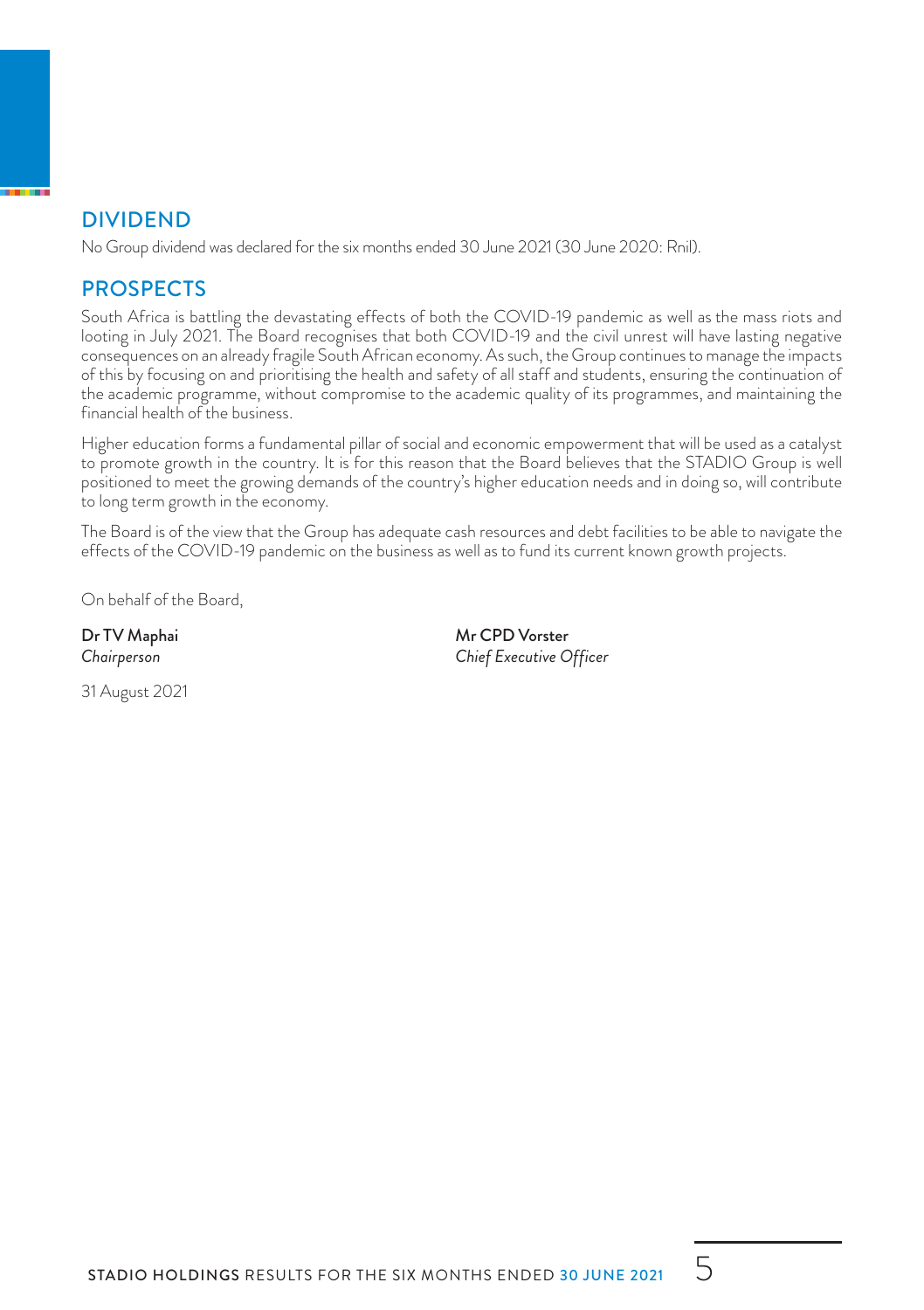#### DIVIDEND

No Group dividend was declared for the six months ended 30 June 2021 (30 June 2020: Rnil).

#### **PROSPECTS**

South Africa is battling the devastating effects of both the COVID-19 pandemic as well as the mass riots and looting in July 2021. The Board recognises that both COVID-19 and the civil unrest will have lasting negative consequences on an already fragile South African economy. As such, the Group continues to manage the impacts of this by focusing on and prioritising the health and safety of all staff and students, ensuring the continuation of the academic programme, without compromise to the academic quality of its programmes, and maintaining the financial health of the business.

Higher education forms a fundamental pillar of social and economic empowerment that will be used as a catalyst to promote growth in the country. It is for this reason that the Board believes that the STADIO Group is well positioned to meet the growing demands of the country's higher education needs and in doing so, will contribute to long term growth in the economy.

The Board is of the view that the Group has adequate cash resources and debt facilities to be able to navigate the effects of the COVID-19 pandemic on the business as well as to fund its current known growth projects.

On behalf of the Board,

31 August 2021

Dr TV Maphai Mr CPD Vorster *Chairperson Chief Executive Officer*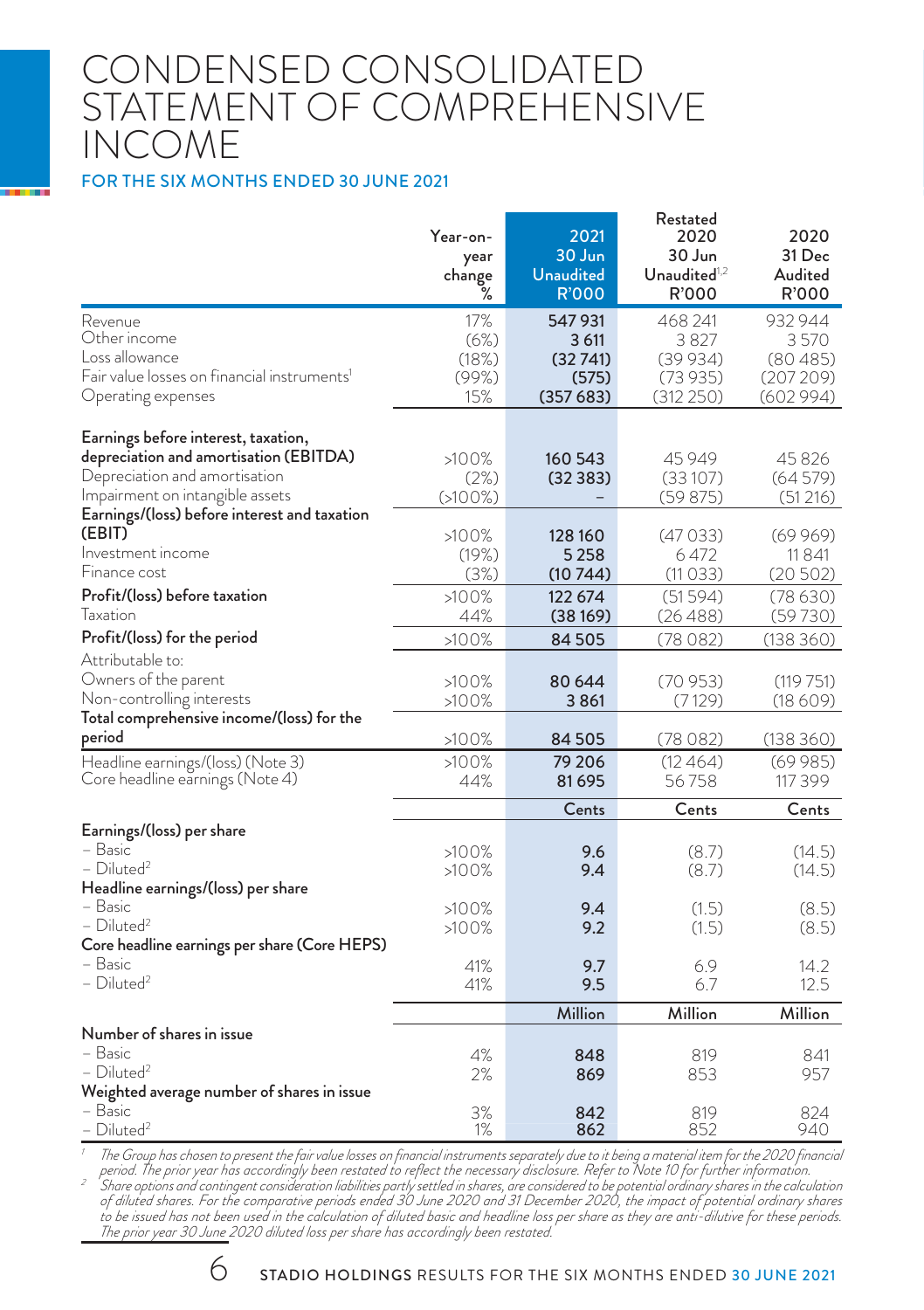### CONDENSED CONSOLIDATED STATEMENT OF COMPREHENSIVE INCOME

#### FOR THE SIX MONTHS ENDED 30 JUNE 2021

|                                                         | Year-on-<br>year<br>change<br>℅ | 2021<br>30 Jun<br><b>Unaudited</b><br><b>R'000</b> | Restated<br>2020<br>30 Jun<br>Unaudited $1,2$<br>R'000 | 2020<br>31 Dec<br>Audited<br>R'000 |
|---------------------------------------------------------|---------------------------------|----------------------------------------------------|--------------------------------------------------------|------------------------------------|
| Revenue                                                 | 17%                             | 547931                                             | 468 241                                                | 932 944                            |
| Other income                                            | (6%)                            | 3 611                                              | 3827                                                   | 3570                               |
| Loss allowance                                          | (18%)                           | (32741)                                            | (39934)                                                | (80485)                            |
| Fair value losses on financial instruments <sup>1</sup> | (99%)                           | (575)                                              | (73935)                                                | (207 209)                          |
| Operating expenses                                      | 15%                             | (357683)                                           | (312 250)                                              | (602 994)                          |
| Earnings before interest, taxation,                     |                                 |                                                    |                                                        |                                    |
| depreciation and amortisation (EBITDA)                  | >100%                           | 160 543                                            | 45 949                                                 | 45826                              |
| Depreciation and amortisation                           | (2%)                            | (32383)                                            | (33107)                                                | (64579)                            |
| Impairment on intangible assets                         | (5100%)                         |                                                    | (59875)                                                | (51216)                            |
| Earnings/(loss) before interest and taxation            |                                 |                                                    |                                                        |                                    |
| (EBIT)                                                  | >100%                           | 128 160                                            | (47033)                                                | (69969)                            |
| Investment income                                       | (19%)                           | 5 2 5 8                                            | 6 472                                                  | 11841                              |
| Finance cost                                            | (3%)                            | (10 744)                                           | (11033)                                                | (20502)                            |
| Profit/(loss) before taxation                           | >100%                           | 122 674                                            | (51594)                                                | (78630)                            |
| Taxation                                                | 44%                             | (38169)                                            | (26488)                                                | (59730)                            |
| Profit/(loss) for the period                            | >100%                           | 84 505                                             | (78082)                                                | (138360)                           |
| Attributable to:                                        |                                 |                                                    |                                                        |                                    |
| Owners of the parent                                    | >100%                           | 80 644                                             | (70953)                                                | (119751)                           |
| Non-controlling interests                               | >100%                           | 3861                                               | (7129)                                                 | (18609)                            |
| Total comprehensive income/(loss) for the               |                                 |                                                    |                                                        |                                    |
| period                                                  | >100%                           | 84 505                                             | (78 082)                                               | (138360)                           |
| Headline earnings/(loss) (Note 3)                       | >100%                           | 79 206                                             | (12464)                                                | (69985)                            |
| Core headline earnings (Note 4)                         | 44%                             | 81695                                              | 56758                                                  | 117 399                            |
|                                                         |                                 | Cents                                              | Cents                                                  | Cents                              |
| Earnings/(loss) per share                               |                                 |                                                    |                                                        |                                    |
| – Basic                                                 | >100%                           | 9.6                                                | (8.7)                                                  | (14.5)                             |
| $-$ Diluted <sup>2</sup>                                | >100%                           | 9.4                                                | (8.7)                                                  | (14.5)                             |
| Headline earnings/(loss) per share                      |                                 |                                                    |                                                        |                                    |
| – Basic                                                 | >100%                           | 9.4                                                | (1.5)                                                  | (8.5)                              |
| $-$ Diluted <sup>2</sup>                                | >100%                           | 9.2                                                | (1.5)                                                  | (8.5)                              |
| Core headline earnings per share (Core HEPS)<br>- Basic |                                 |                                                    |                                                        |                                    |
| - Diluted <sup>2</sup>                                  | 41%<br>41%                      | 9.7<br>9.5                                         | 6.9<br>6.7                                             | 14.2<br>12.5                       |
|                                                         |                                 |                                                    |                                                        |                                    |
|                                                         |                                 | Million                                            | Million                                                | Million                            |
| Number of shares in issue                               |                                 |                                                    |                                                        |                                    |
| - Basic                                                 | 4%                              | 848                                                | 819                                                    | 841                                |
| $-$ Diluted <sup>2</sup>                                | 2%                              | 869                                                | 853                                                    | 957                                |
| Weighted average number of shares in issue<br>– Basic   | 3%                              | 842                                                | 819                                                    | 824                                |
| – Diluted <sup>2</sup>                                  | 1%                              | 862                                                | 852                                                    | 940                                |
|                                                         |                                 |                                                    |                                                        |                                    |

The Group has chosen to present the foir value losses on financial instruments separately due to it being a material item for the 2020 financial period. The prior year has accordingly been restated to reflect the necessary *The prior year 30 June 2020 diluted loss per share has accordingly been restated.*

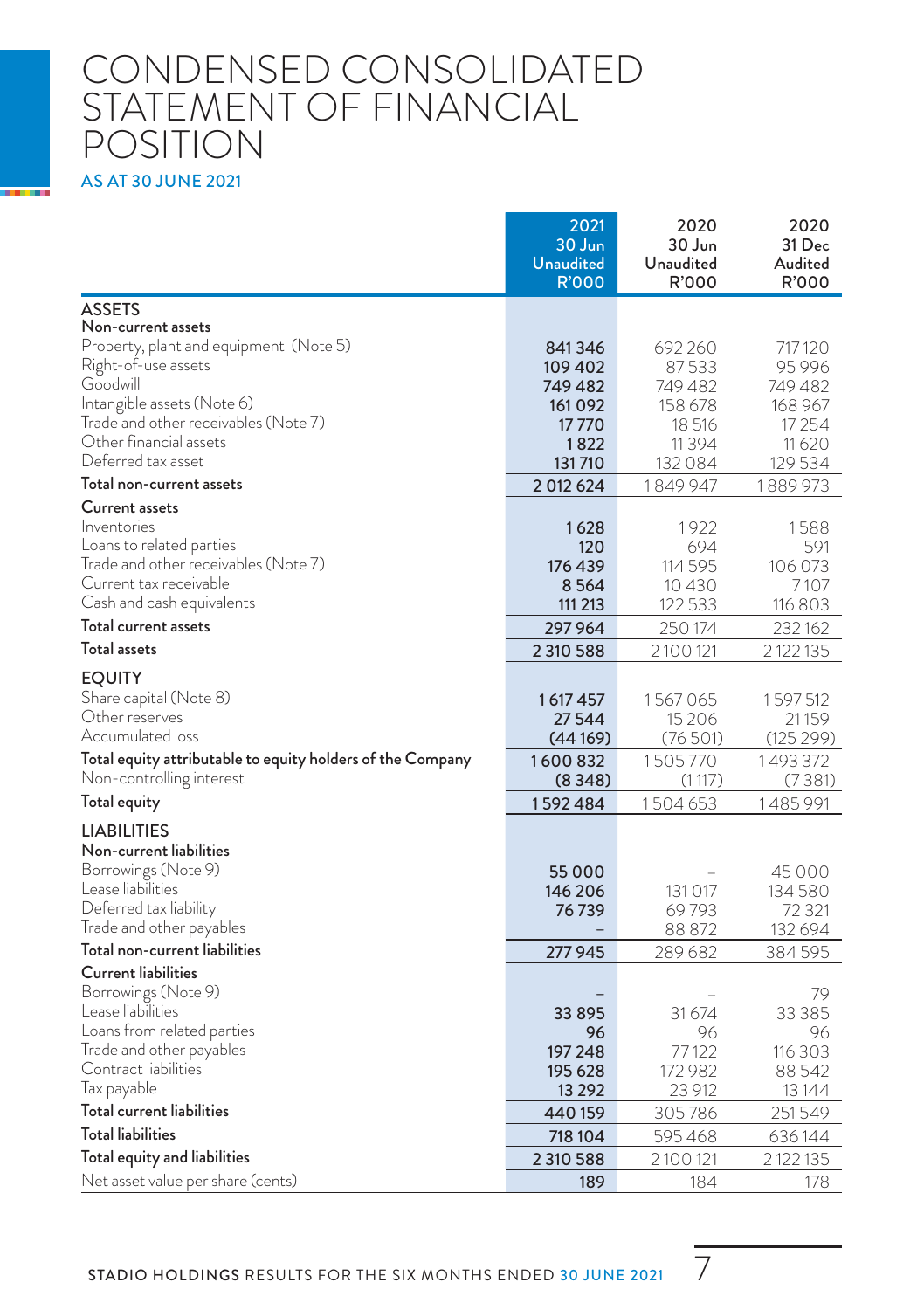### CONDENSED CONSOLIDATED STATEMENT OF FINANCIAL POSITION AS AT 30 JUNE 2021

|                                                                | 2021<br>30 Jun<br>Unaudited<br><b>R'000</b> | 2020<br>30 Jun<br>Unaudited<br>R'000 | 2020<br>31 Dec<br>Audited<br>R'000 |
|----------------------------------------------------------------|---------------------------------------------|--------------------------------------|------------------------------------|
| ASSETS                                                         |                                             |                                      |                                    |
| Non-current assets                                             |                                             |                                      |                                    |
| Property, plant and equipment (Note 5)                         | 841346                                      | 692 260                              | 717120                             |
| Right-of-use assets<br>Goodwill                                | 109 402<br>749 482                          | 87533<br>749482                      | 95996<br>749482                    |
| Intangible assets (Note 6)                                     | 161 092                                     | 158 678                              | 168 967                            |
| Trade and other receivables (Note 7)                           | 17770                                       | 18 516                               | 17 25 4                            |
| Other financial assets                                         | 1822                                        | 11394                                | 11620                              |
| Deferred tax asset                                             | 131710                                      | 132 084                              | 129534                             |
| Total non-current assets                                       | 2 012 624                                   | 1 849 947                            | 1889 973                           |
| Current assets                                                 |                                             |                                      |                                    |
| Inventories                                                    | 1628                                        | 1922                                 | 1588                               |
| Loans to related parties                                       | 120                                         | 694                                  | 591                                |
| Trade and other receivables (Note 7)<br>Current tax receivable | 176 439                                     | 114 595                              | 106 073                            |
| Cash and cash equivalents                                      | 8564<br>111 213                             | 10430<br>122 533                     | 7107<br>116 803                    |
| Total current assets                                           | 297 964                                     | 250 174                              | 232 162                            |
| <b>Total assets</b>                                            | 2 310 588                                   | 2 100 121                            | 2122135                            |
|                                                                |                                             |                                      |                                    |
| <b>EQUITY</b>                                                  |                                             |                                      |                                    |
| Share capital (Note 8)<br>Other reserves                       | 1617457                                     | 1567065                              | 1597512                            |
| Accumulated loss                                               | 27 544<br>(44 169)                          | 15 2 0 6<br>(76501)                  | 21 159<br>(125299)                 |
| Total equity attributable to equity holders of the Company     | 1600832                                     | 1505770                              | 1493372                            |
| Non-controlling interest                                       | (8 3 4 8 )                                  | (1117)                               | (7381)                             |
| Total equity                                                   | 1592484                                     | 1504653                              | 1485991                            |
| LIABILITIES                                                    |                                             |                                      |                                    |
| Non-current liabilities                                        |                                             |                                      |                                    |
| Borrowings (Note 9)                                            | 55 000                                      |                                      | 45000                              |
| Lease liabilities                                              | 146 206                                     | 131 017                              | 134580                             |
| Deferred tax liability                                         | 76 739                                      | 69793                                | 72 321                             |
| I rade and other payables                                      |                                             | 88 872                               | 132 694                            |
| Total non-current liabilities                                  | 277945                                      | 289 682                              | 384595                             |
| Current liabilities                                            |                                             |                                      |                                    |
| Borrowings (Note 9)                                            |                                             |                                      | 79                                 |
| Lease liabilities                                              | 33 895                                      | 31 674                               | 33 385                             |
| Loans from related parties<br>Irade and other payables         | 96<br>197 248                               | 96<br>77122                          | 96<br>116 303                      |
| Contract liabilities                                           | 195 628                                     | 172 982                              | 88542                              |
| lax payable                                                    | 13 29 2                                     | 23 912                               | 13 14 4                            |
| Total current liabilities                                      | 440 159                                     | 305786                               | 251549                             |
| <b>Total liabilities</b>                                       | 718 104                                     | 595468                               | 636 144                            |
| Total equity and liabilities                                   | 2 310 588                                   | 2 100 121                            | 2 122 135                          |
| Net asset value per share (cents)                              | 189                                         | 184                                  | 178                                |

STADIO HOLDINGS RESULTS FOR THE SIX MONTHS ENDED 30 JUNE 2021 7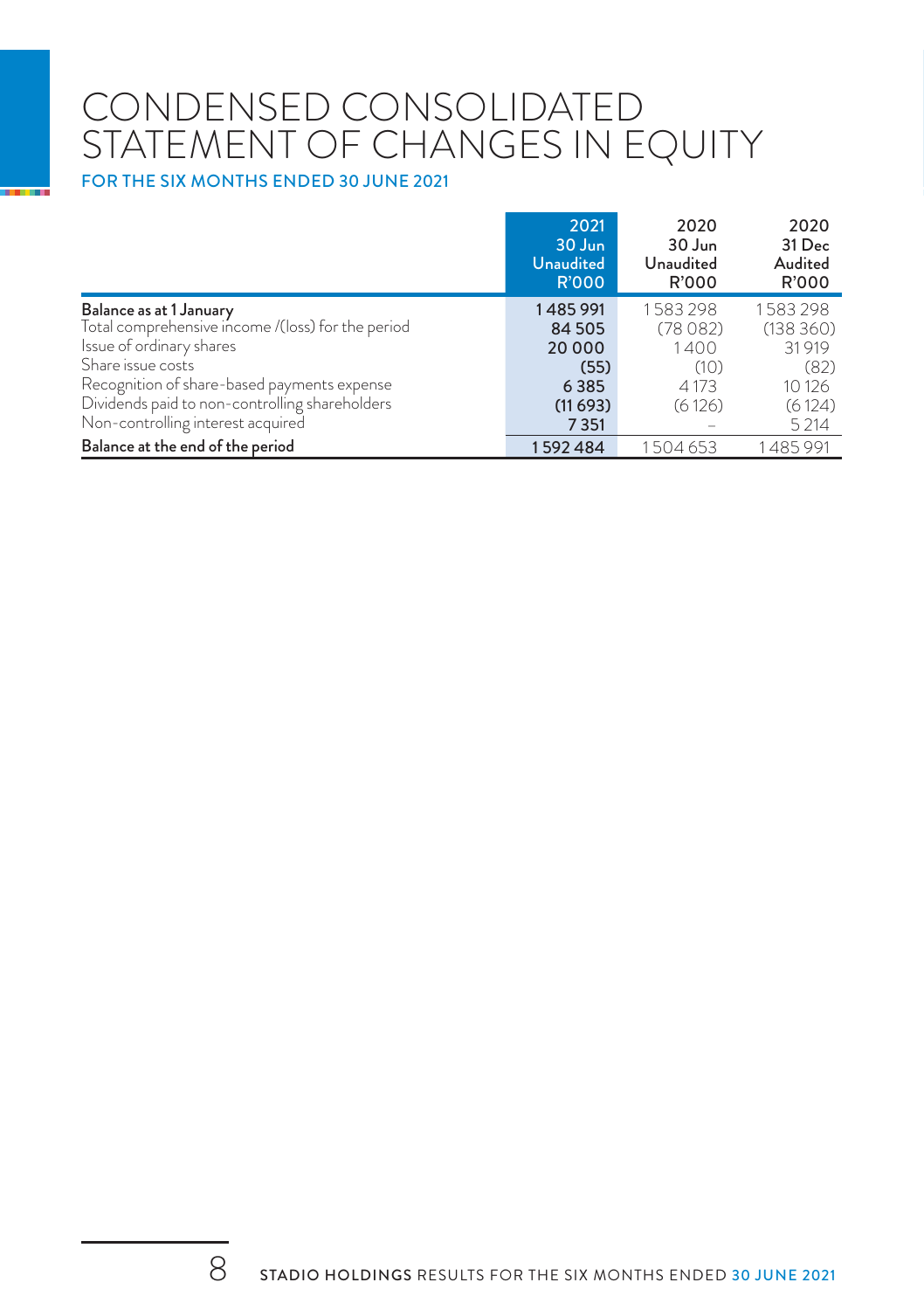# CONDENSED CONSOLIDATED STATEMENT OF CHANGES IN EQUITY

FOR THE SIX MONTHS ENDED 30 JUNE 2021

|                                                   | 2021<br>30 Jun<br><b>Unaudited</b><br><b>R'000</b> | 2020<br>30 Jun<br>Unaudited<br>R'000 | 2020<br>31 Dec<br>Audited<br><b>R'000</b> |
|---------------------------------------------------|----------------------------------------------------|--------------------------------------|-------------------------------------------|
| Balance as at 1 January                           | 1485991                                            | 1583298                              | 1583298                                   |
| Total comprehensive income /(loss) for the period | 84 50 5                                            | (78082)                              | (138360)                                  |
| Issue of ordinary shares                          | 20 000                                             | 1400                                 | 31919                                     |
| Share issue costs                                 | (55)                                               | (10)                                 | (82)                                      |
| Recognition of share-based payments expense       | 6385                                               | 4173                                 | 10 1 26                                   |
| Dividends paid to non-controlling shareholders    | (11693)                                            | (6126)                               | (6124)                                    |
| Non-controlling interest acquired                 | 7351                                               |                                      | 5 2 1 4                                   |
| Balance at the end of the period                  | 1592484                                            | 1504653                              | 1485991                                   |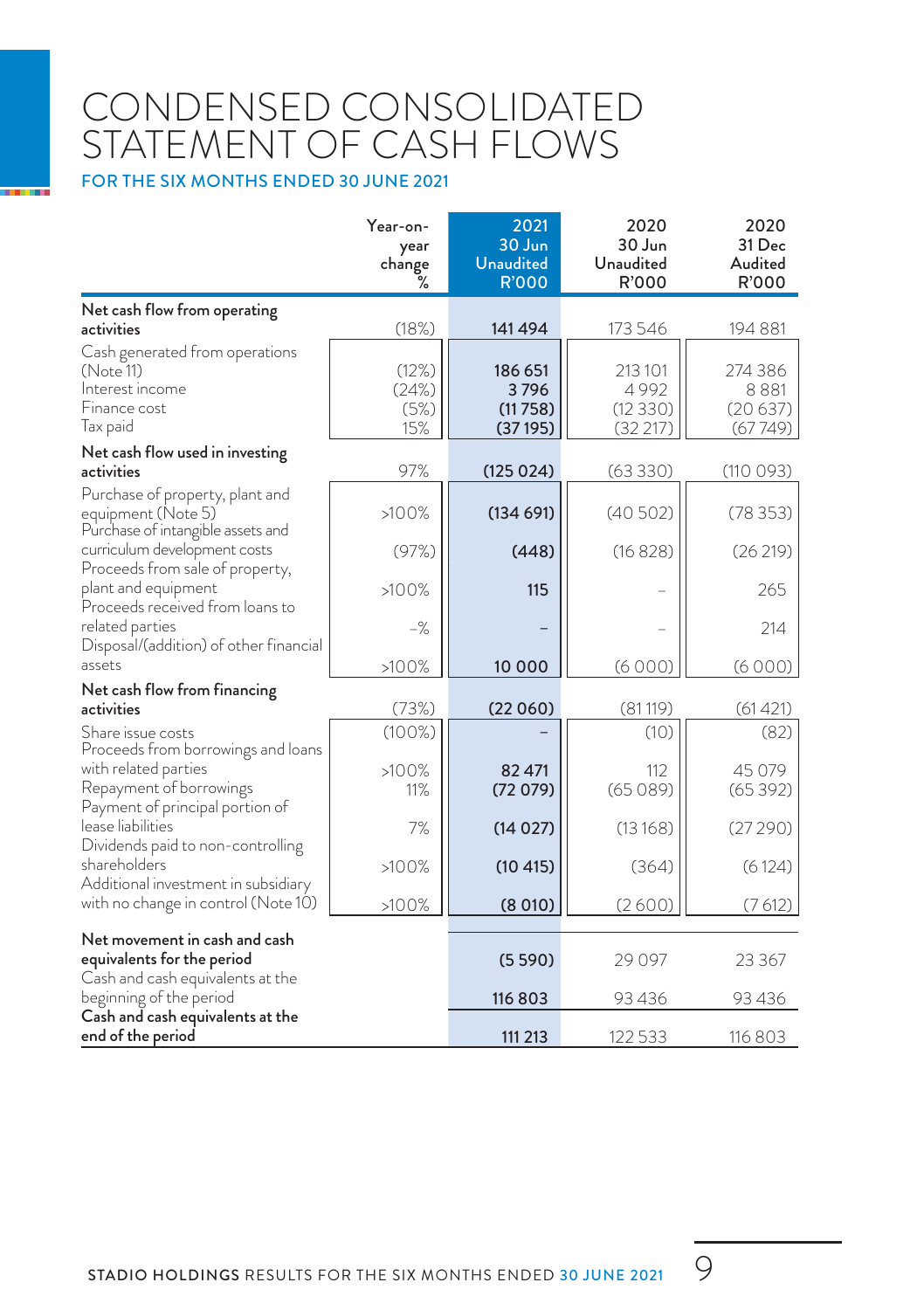# CONDENSED CONSOLIDATED STATEMENT OF CASH FLOWS

FOR THE SIX MONTHS ENDED 30 JUNE 2021

|                                                                                                 | Year-on-<br>year<br>change<br>℅ | 2021<br>30 Jun<br><b>Unaudited</b><br><b>R'000</b> | 2020<br>30 Jun<br>Unaudited<br>R'000 | 2020<br>31 Dec<br>Audited<br>R'000    |
|-------------------------------------------------------------------------------------------------|---------------------------------|----------------------------------------------------|--------------------------------------|---------------------------------------|
| Net cash flow from operating                                                                    |                                 |                                                    |                                      |                                       |
| activities                                                                                      | (18%)                           | 141494                                             | 173 546                              | 194 881                               |
| Cash generated from operations<br>(Note 11)<br>Interest income<br>Finance cost<br>Tax paid      | (12%)<br>(24%)<br>(5%)<br>15%   | 186 651<br>3796<br>(11758)<br>(37195)              | 213101<br>4992<br>(12330)<br>(32217) | 274 386<br>8881<br>(20637)<br>(67749) |
| Net cash flow used in investing                                                                 |                                 |                                                    |                                      |                                       |
| activities                                                                                      | 97%                             | (125024)                                           | (63330)                              | (110093)                              |
| Purchase of property, plant and<br>equipment (Note 5)<br>Purchase of intangible assets and      | >100%                           | (134691)                                           | (40502)                              | (78353)                               |
| curriculum development costs<br>Proceeds from sale of property,                                 | (97%)                           | (448)                                              | (16828)                              | (26219)                               |
| plant and equipment<br>Proceeds received from loans to                                          | >100%                           | 115                                                |                                      | 265                                   |
| related parties<br>Disposal/(addition) of other financial                                       | $-\frac{9}{6}$                  |                                                    |                                      | 214                                   |
| assets                                                                                          | >100%                           | 10 000                                             | (6000)                               | (6000)                                |
| Net cash flow from financing                                                                    |                                 |                                                    |                                      |                                       |
| activities                                                                                      | (73%)                           | (22060)                                            | (81119)                              | (61 421)                              |
| Share issue costs<br>Proceeds from borrowings and loans                                         | $(100\%)$                       |                                                    | (10)                                 | (82)                                  |
| with related parties<br>Repayment of borrowings<br>Payment of principal portion of              | >100%<br>11%                    | 82 471<br>(72079)                                  | 112<br>(65089)                       | 45 079<br>(65392)                     |
| lease liabilities<br>Dividends paid to non-controlling                                          | 7%                              | (14027)                                            | (13168)                              | (27290)                               |
| shareholders<br>Additional investment in subsidiary                                             | >100%                           | (10 415)                                           | (364)                                | (6124)                                |
| with no change in control (Note 10)                                                             | >100%                           | (8010)                                             | (2600)                               | (7612)                                |
| Net movement in cash and cash<br>equivalents for the period<br>Cash and cash equivalents at the |                                 | (5590)                                             | 29 0 97                              | 23 3 67                               |
| beginning of the period                                                                         |                                 | 116803                                             | 93436                                | 93436                                 |
| Cash and cash equivalents at the<br>end of the period                                           |                                 | 111 213                                            | 122533                               | 116803                                |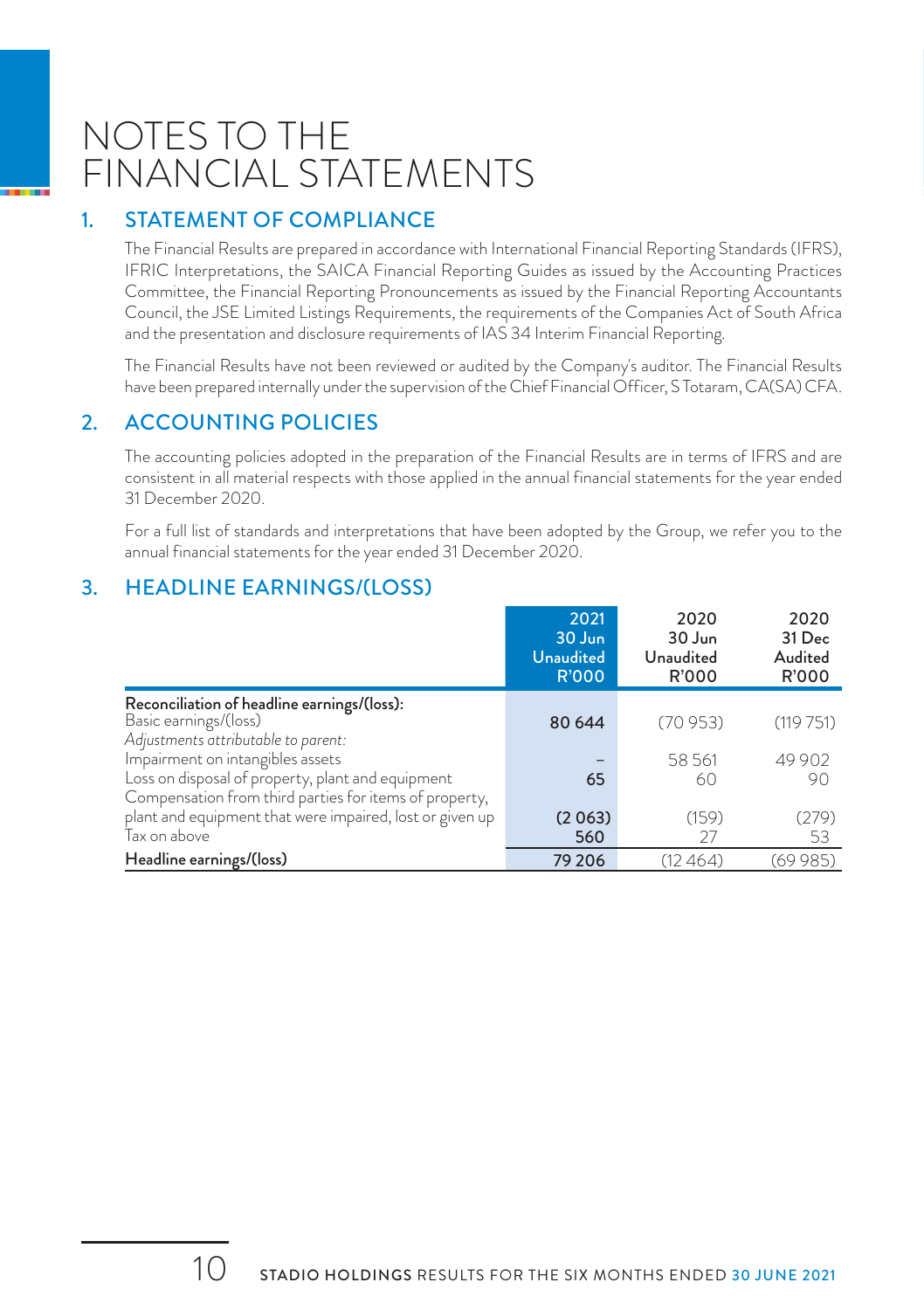## NOTES TO THE FINANCIAL STATEMENTS

#### 1. STATEMENT OF COMPLIANCE

The Financial Results are prepared in accordance with International Financial Reporting Standards (IFRS), IFRIC Interpretations, the SAICA Financial Reporting Guides as issued by the Accounting Practices Committee, the Financial Reporting Pronouncements as issued by the Financial Reporting Accountants Council, the JSE Limited Listings Requirements, the requirements of the Companies Act of South Africa and the presentation and disclosure requirements of IAS 34 Interim Financial Reporting.

The Financial Results have not been reviewed or audited by the Company's auditor. The Financial Results have been prepared internally under the supervision of the Chief Financial Officer, S Totaram, CA(SA) CFA.

#### 2. ACCOUNTING POLICIES

The accounting policies adopted in the preparation of the Financial Results are in terms of IFRS and are consistent in all material respects with those applied in the annual financial statements for the year ended 31 December 2020.

For a full list of standards and interpretations that have been adopted by the Group, we refer you to the annual financial statements for the year ended 31 December 2020.

#### 3. HEADLINE EARNINGS/(LOSS)

|                                                          | 2021<br>30 Jun<br><b>Unaudited</b><br><b>R'000</b> | 2020<br>30 Jun<br>Unaudited<br>R'000 | 2020<br>31 Dec<br>Audited<br>R'000 |
|----------------------------------------------------------|----------------------------------------------------|--------------------------------------|------------------------------------|
| Reconciliation of headline earnings/(loss):              |                                                    |                                      |                                    |
| Basic earnings/(loss)                                    | 80 644                                             | (70953)                              | (119751)                           |
| Adjustments attributable to parent:                      |                                                    |                                      |                                    |
| Impairment on intangibles assets                         |                                                    | 58561                                | 49 902                             |
| Loss on disposal of property, plant and equipment        | 65                                                 | 60                                   | 90                                 |
| Compensation from third parties for items of property,   |                                                    |                                      |                                    |
| plant and equipment that were impaired, lost or given up | (2063)                                             | (159)                                | (279)                              |
| Tax on above                                             | 560                                                | 27                                   | 53                                 |
| Headline earnings/(loss)                                 | 79 206                                             | (12 464)                             | (69 985)                           |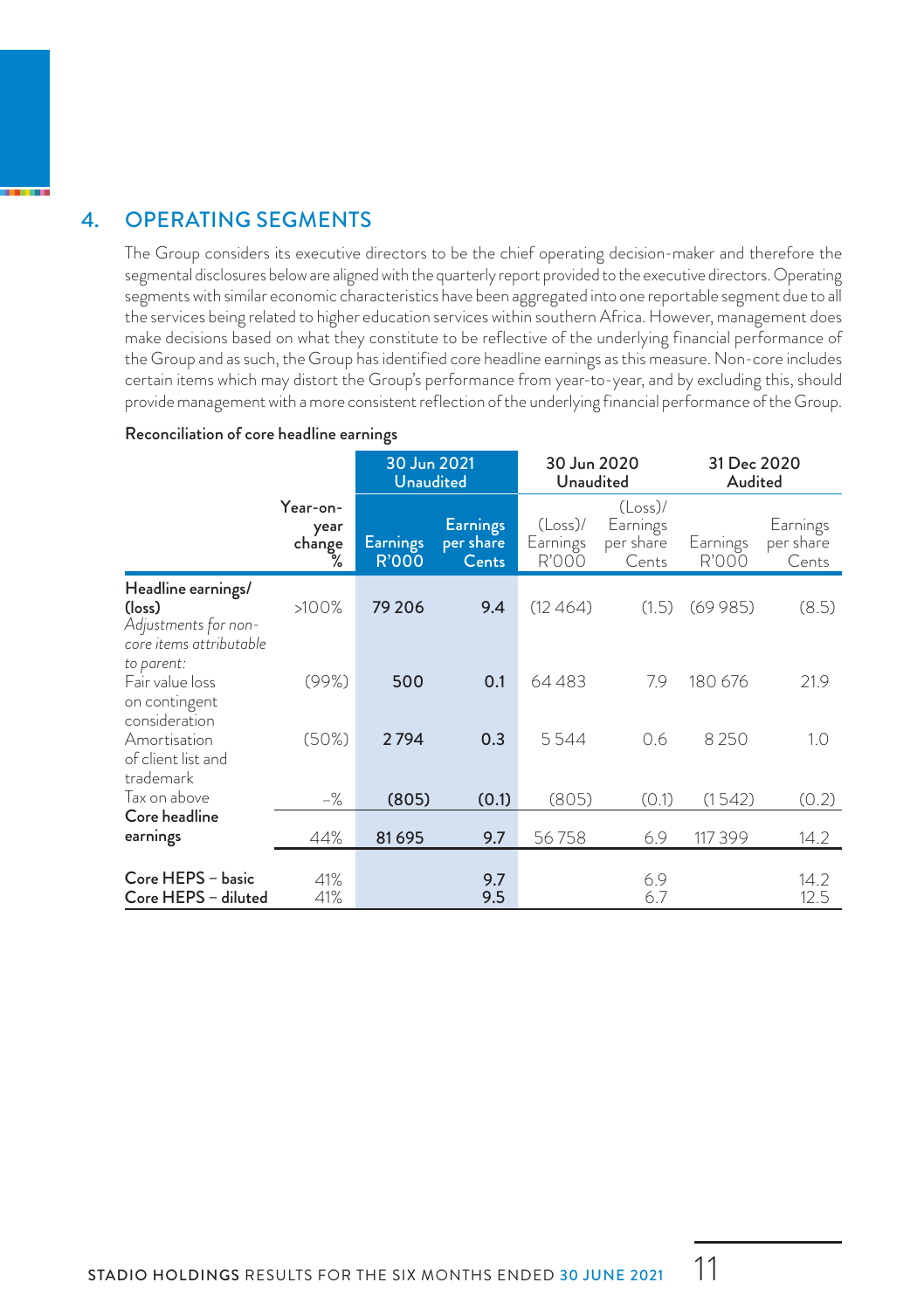#### 4. OPERATING SEGMENTS

The Group considers its executive directors to be the chief operating decision-maker and therefore the segmental disclosures below are aligned with the quarterly report provided to the executive directors. Operating segments with similar economic characteristics have been aggregated into one reportable segment due to all the services being related to higher education services within southern Africa. However, management does make decisions based on what they constitute to be reflective of the underlying financial performance of the Group and as such, the Group has identified core headline earnings as this measure. Non-core includes certain items which may distort the Group's performance from year-to-year, and by excluding this, should provide management with a more consistent reflection of the underlying financial performance of the Group.

#### Reconciliation of core headline earnings

|                                                                                 |                                 |                                 | 30 Jun 2021<br><b>Unaudited</b>       | 30 Jun 2020<br>Unaudited        |                                              | 31 Dec 2020<br>Audited |                                |
|---------------------------------------------------------------------------------|---------------------------------|---------------------------------|---------------------------------------|---------------------------------|----------------------------------------------|------------------------|--------------------------------|
|                                                                                 | Year-on-<br>year<br>change<br>℅ | <b>Earnings</b><br><b>R'000</b> | <b>Earnings</b><br>per share<br>Cents | $(Loss)$ /<br>Earnings<br>R'000 | $(Loss)$ /<br>Earnings<br>per share<br>Cents | Earnings<br>R'000      | Earnings<br>per share<br>Cents |
| Headline earnings/<br>(loss)<br>Adjustments for non-<br>core items attributable | >100%                           | 79 206                          | 9.4                                   | (12464)                         | (1.5)                                        | (69985)                | (8.5)                          |
| to parent:<br>Fair value loss<br>on contingent<br>consideration                 | (99%)                           | 500                             | 0.1                                   | 64483                           | 7.9                                          | 180 676                | 21.9                           |
| Amortisation<br>of client list and<br>trademark                                 | (50%)                           | 2794                            | 0.3                                   | 5544                            | 0.6                                          | 8250                   | 1.0                            |
| Tax on above                                                                    | $-\frac{9}{6}$                  | (805)                           | (0.1)                                 | (805)                           | (0.1)                                        | (1542)                 | (0.2)                          |
| Core headline<br>earnings                                                       | 44%                             | 81695                           | 9.7                                   | 56758                           | 6.9                                          | 117 399                | 14.2                           |
| Core HEPS - basic<br>Core HEPS - diluted                                        | 41%<br>41%                      |                                 | 9.7<br>9.5                            |                                 | 6.9<br>6.7                                   |                        | 14.2<br>12.5                   |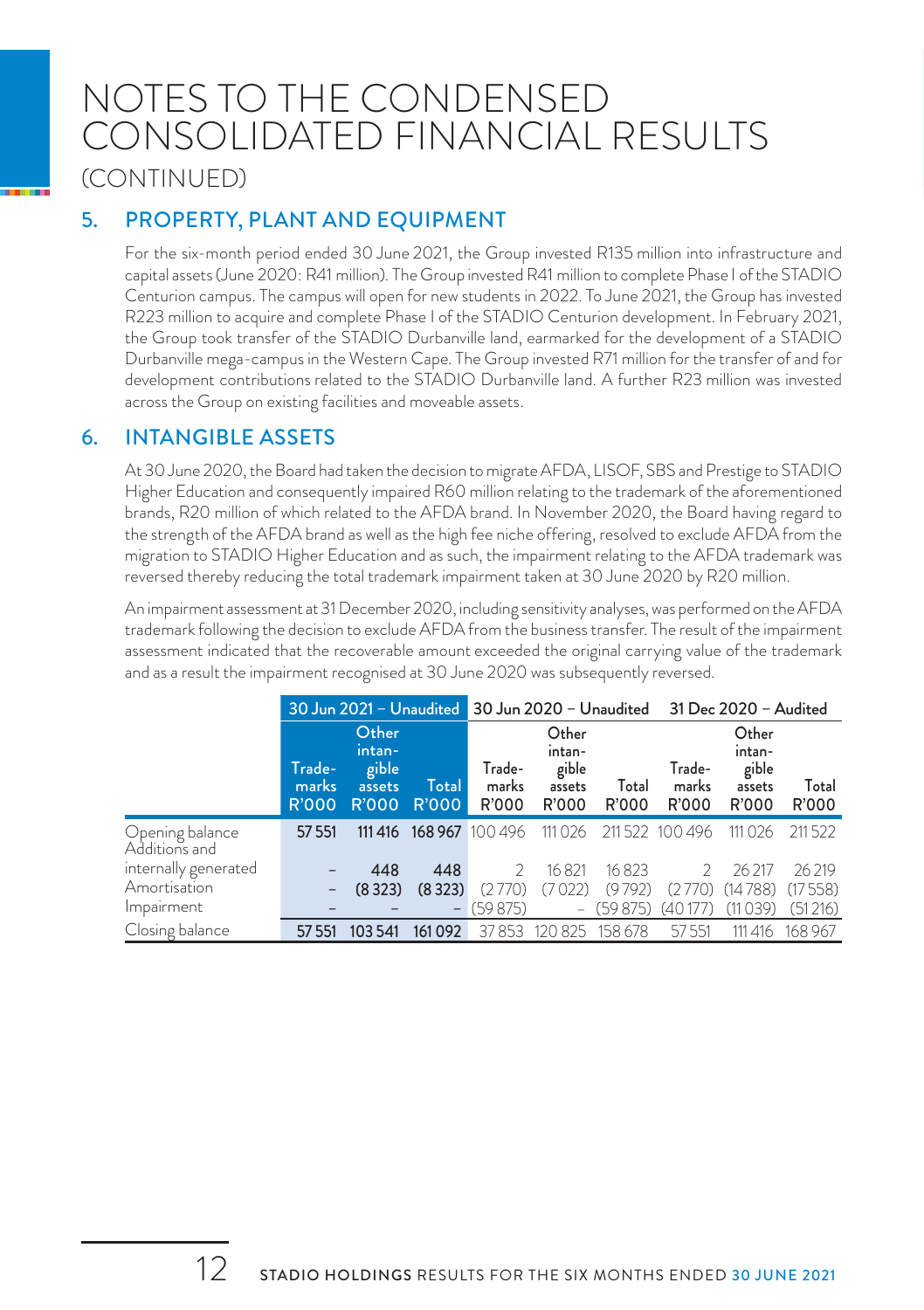### NOTES TO THE CONDENSED CONSOLIDATED FINANCIAL RESULTS (CONTINUED)

#### 5. PROPERTY, PLANT AND EQUIPMENT

For the six-month period ended 30 June 2021, the Group invested R135 million into infrastructure and capital assets (June 2020: R41 million). The Group invested R41 million to complete Phase I of the STADIO Centurion campus. The campus will open for new students in 2022. To June 2021, the Group has invested R223 million to acquire and complete Phase I of the STADIO Centurion development. In February 2021, the Group took transfer of the STADIO Durbanville land, earmarked for the development of a STADIO Durbanville mega-campus in the Western Cape. The Group invested R71 million for the transfer of and for development contributions related to the STADIO Durbanville land. A further R23 million was invested across the Group on existing facilities and moveable assets.

#### 6. INTANGIBLE ASSETS

At 30 June 2020, the Board had taken the decision to migrate AFDA, LISOF, SBS and Prestige to STADIO Higher Education and consequently impaired R60 million relating to the trademark of the aforementioned brands, R20 million of which related to the AFDA brand. In November 2020, the Board having regard to the strength of the AFDA brand as well as the high fee niche offering, resolved to exclude AFDA from the migration to STADIO Higher Education and as such, the impairment relating to the AFDA trademark was reversed thereby reducing the total trademark impairment taken at 30 June 2020 by R20 million.

An impairment assessment at 31 December 2020, including sensitivity analyses, was performed on the AFDA trademark following the decision to exclude AFDA from the business transfer. The result of the impairment assessment indicated that the recoverable amount exceeded the original carrying value of the trademark and as a result the impairment recognised at 30 June 2020 was subsequently reversed.

|                                  | 30 Jun 2021 - Unaudited         |                                                    |                |                          |                                             |                | 30 Jun 2020 - Unaudited 31 Dec 2020 - Audited |                                             |                |
|----------------------------------|---------------------------------|----------------------------------------------------|----------------|--------------------------|---------------------------------------------|----------------|-----------------------------------------------|---------------------------------------------|----------------|
|                                  | Trade-<br>marks<br><b>R'000</b> | Other<br>intan-<br>gible<br>assets<br><b>R'000</b> | Total<br>R'000 | Trade-<br>marks<br>R'000 | Other<br>intan-<br>gible<br>assets<br>R'000 | Total<br>R'000 | Trade-<br>marks<br>R'000                      | Other<br>intan-<br>gible<br>assets<br>R'000 | Total<br>R'000 |
| Opening balance<br>Additions and | 57 551                          | 111 416                                            |                | 168 967 100 496          | 111 0 26                                    |                | 211522 100 496                                | 111 0 26                                    | 211522         |
| internally generated             |                                 | 448                                                | 448            | $\mathcal{P}$            | 16821                                       | 16823          | $\mathcal{L}$                                 | 26 217                                      | 26219          |
| Amortisation                     |                                 | (8323)                                             | (8323)         | (2770)                   | (7022)                                      | (9792)         | (2770)                                        | (14788)                                     | (17558)        |
| Impairment                       |                                 |                                                    |                | $-$ (59 875)             |                                             | $-$ (59 875)   | (40177)                                       | (11039)                                     | (51216)        |
| Closing balance                  | 57 551                          | 103 541                                            | 161092         | 37853                    | 120 825                                     | 158 678        | 57551                                         | 111 416                                     | 168 967        |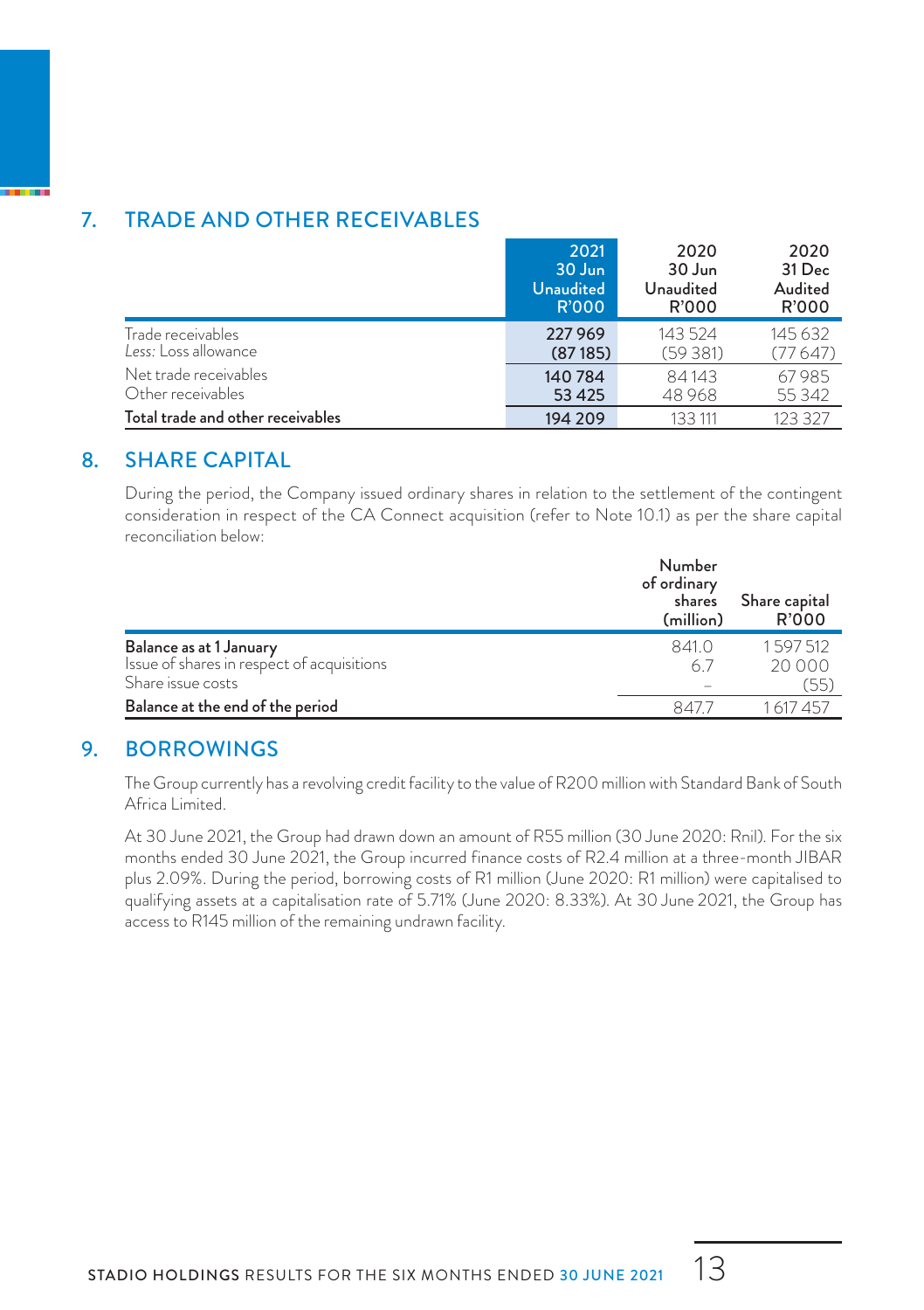#### 7. TRADE AND OTHER RECEIVABLES

|                                   | 2021             | 2020      | 2020    |
|-----------------------------------|------------------|-----------|---------|
|                                   | 30 Jun           | 30 Jun    | 31 Dec  |
|                                   | <b>Unaudited</b> | Unaudited | Audited |
|                                   | <b>R'000</b>     | R'000     | R'000   |
| Trade receivables                 | 227 969          | 143 524   | 145632  |
| Less: Loss allowance              | (87185)          | (59381)   | (77647) |
| Net trade receivables             | 140 784          | 84143     | 67985   |
| Other receivables                 | 53 4 25          | 48968     | 55 3 42 |
| Total trade and other receivables | 194 209          | 133 111   | 123.327 |

#### 8. SHARE CAPITAL

During the period, the Company issued ordinary shares in relation to the settlement of the contingent consideration in respect of the CA Connect acquisition (refer to Note 10.1) as per the share capital reconciliation below:

|                                                                 | Number<br>of ordinary<br>shares<br>(million) | Share capital<br>R'000 |
|-----------------------------------------------------------------|----------------------------------------------|------------------------|
| Balance as at 1 January                                         | 841 0                                        | 1597512                |
| Issue of shares in respect of acquisitions<br>Share issue costs | 6.7                                          | 20,000<br>(55)         |
| Balance at the end of the period                                | 847.                                         | 1 617 457              |

#### 9. BORROWINGS

The Group currently has a revolving credit facility to the value of R200 million with Standard Bank of South Africa Limited.

At 30 June 2021, the Group had drawn down an amount of R55 million (30 June 2020: Rnil). For the six months ended 30 June 2021, the Group incurred finance costs of R2.4 million at a three-month JIBAR plus 2.09%. During the period, borrowing costs of R1 million (June 2020: R1 million) were capitalised to qualifying assets at a capitalisation rate of 5.71% (June 2020: 8.33%). At 30 June 2021, the Group has access to R145 million of the remaining undrawn facility.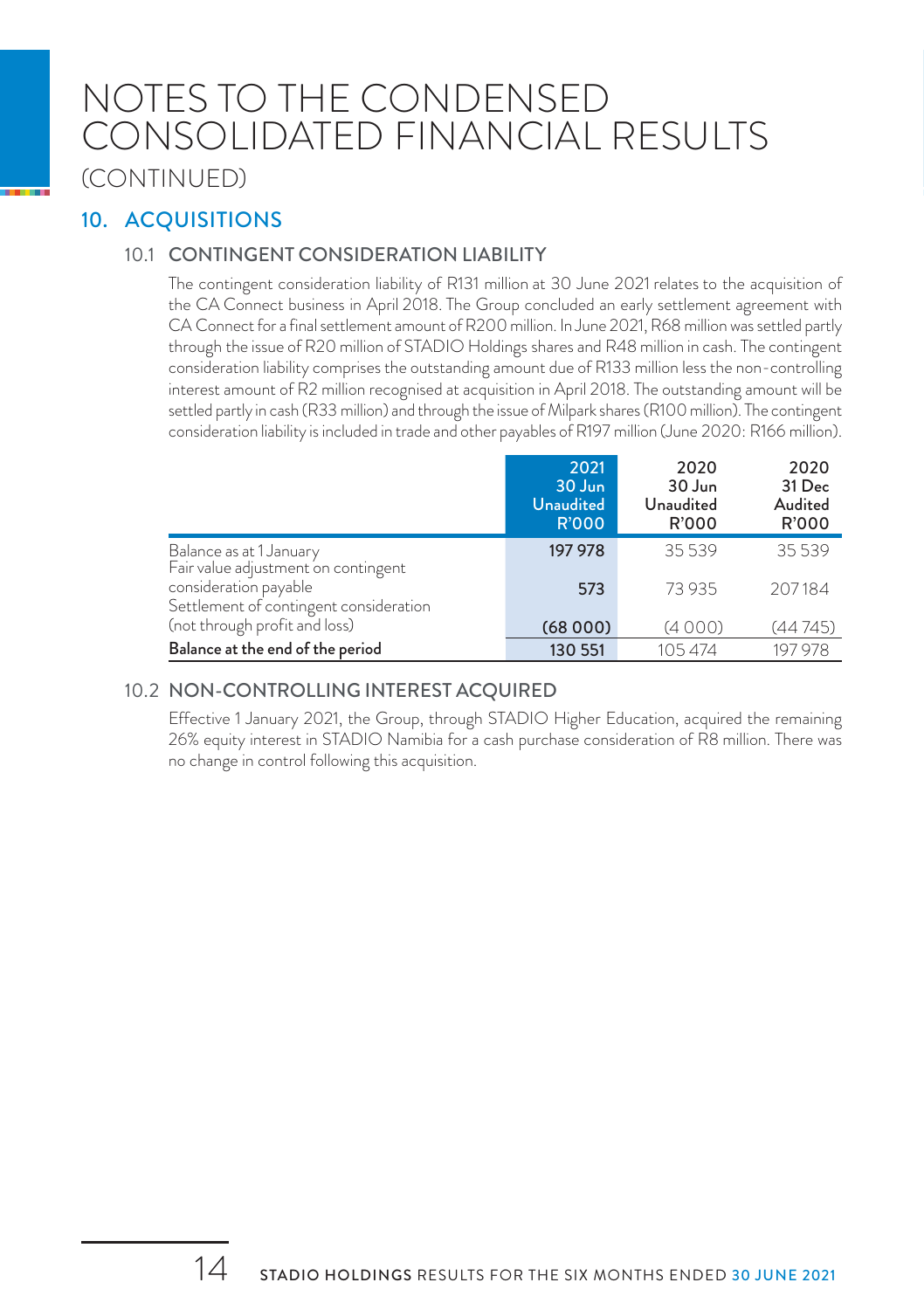### NOTES TO THE CONDENSED CONSOLIDATED FINANCIAL RESULTS (CONTINUED)

#### 10. ACQUISITIONS

#### 10.1 CONTINGENT CONSIDERATION LIABILITY

The contingent consideration liability of R131 million at 30 June 2021 relates to the acquisition of the CA Connect business in April 2018. The Group concluded an early settlement agreement with CA Connect for a final settlement amount of R200 million. In June 2021, R68 million was settled partly through the issue of R20 million of STADIO Holdings shares and R48 million in cash. The contingent consideration liability comprises the outstanding amount due of R133 million less the non-controlling interest amount of R2 million recognised at acquisition in April 2018. The outstanding amount will be settled partly in cash (R33 million) and through the issue of Milpark shares (R100 million). The contingent consideration liability is included in trade and other payables of R197 million (June 2020: R166 million).

|                                                                 | 2021<br>30 Jun<br><b>Unaudited</b><br><b>R'000</b> | 2020<br>30 Jun<br>Unaudited<br>R'000 | 2020<br>31 Dec<br>Audited<br><b>R'000</b> |
|-----------------------------------------------------------------|----------------------------------------------------|--------------------------------------|-------------------------------------------|
| Balance as at 1 January<br>Fair value adjustment on contingent  | 197 978                                            | 35539                                | 35539                                     |
| consideration payable<br>Settlement of contingent consideration | 573                                                | 73 935                               | 207184                                    |
| (not through profit and loss)                                   | (68000)                                            | (4000)                               | (44745)                                   |
| Balance at the end of the period                                | 130 551                                            | 105474                               | 197 978                                   |

#### 10.2 NON-CONTROLLING INTEREST ACQUIRED

Effective 1 January 2021, the Group, through STADIO Higher Education, acquired the remaining 26% equity interest in STADIO Namibia for a cash purchase consideration of R8 million. There was no change in control following this acquisition.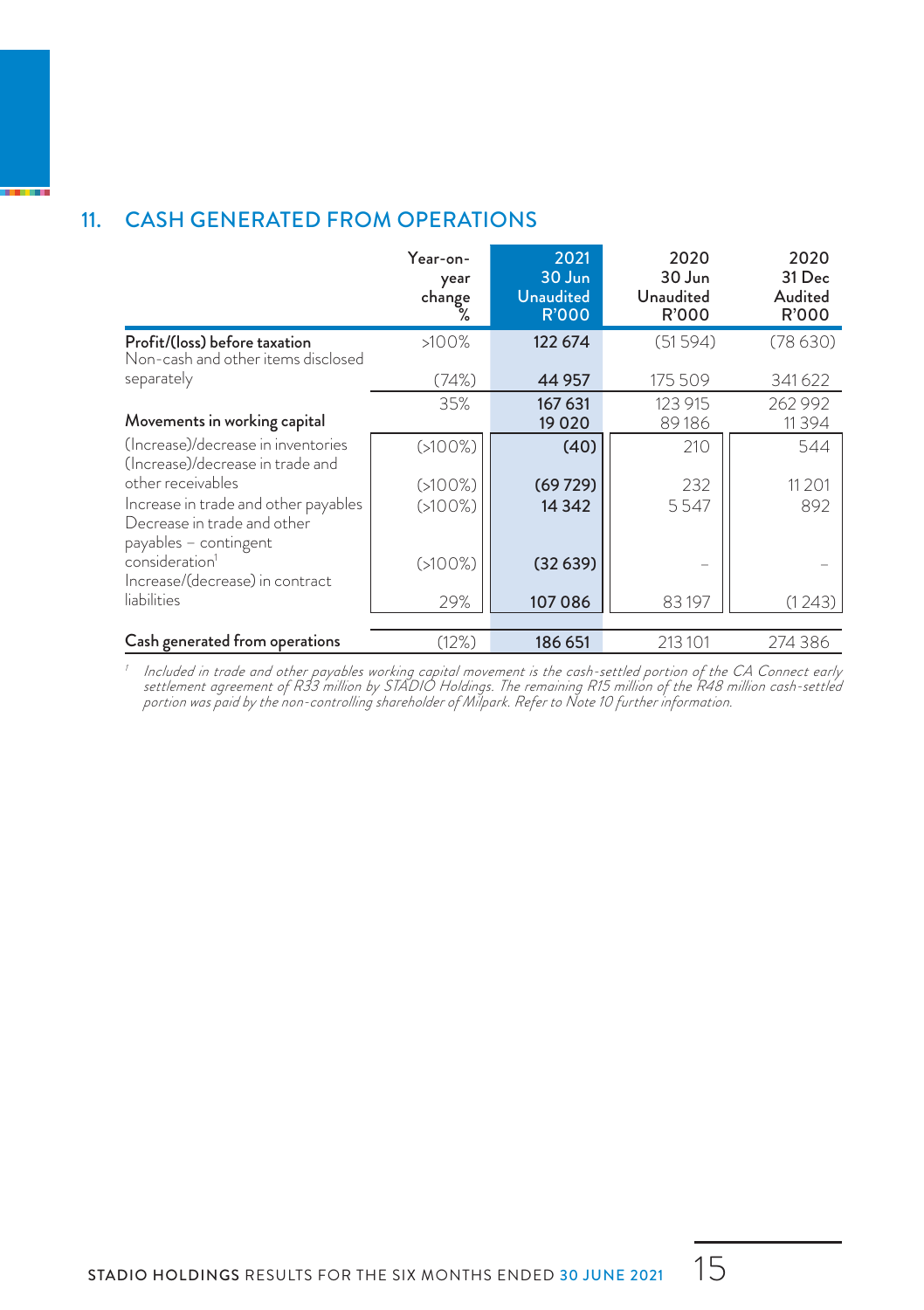#### 11. CASH GENERATED FROM OPERATIONS

|                                                                                                                   | Year-on-<br>year<br>change | 2021<br>30 Jun<br><b>Unaudited</b><br><b>R'000</b> | 2020<br>30 Jun<br>Unaudited<br>R'000 | 2020<br>31 Dec<br>Audited<br>R'000 |
|-------------------------------------------------------------------------------------------------------------------|----------------------------|----------------------------------------------------|--------------------------------------|------------------------------------|
| Profit/(loss) before taxation<br>Non-cash and other items disclosed                                               | >100%                      | 122 674                                            | (51594)                              | (78630)                            |
| separately                                                                                                        | (74%)                      | 44 9 57                                            | 175 509                              | 341622                             |
| Movements in working capital                                                                                      | 35%                        | 167 631<br>19 0 20                                 | 123 915<br>89186                     | 262 992<br>11394                   |
| (Increase)/decrease in inventories<br>(Increase)/decrease in trade and                                            | $(5100\%)$                 | (40)                                               | 210                                  | 544                                |
| other receivables<br>Increase in trade and other payables<br>Decrease in trade and other<br>payables - contingent | $(5100\%)$<br>$(5100\%)$   | (69729)<br>14 3 42                                 | 232<br>5547                          | 11 2 0 1<br>892                    |
| consideration <sup>1</sup><br>Increase/(decrease) in contract                                                     | $(5100\%)$                 | (32639)                                            |                                      |                                    |
| liabilities                                                                                                       | 29%                        | 107 086                                            | 83197                                | (1243)                             |
| Cash generated from operations                                                                                    | (12%)                      | 186 651                                            | 213 101                              | 274386                             |

ncluded in trade and other payables working capital movement is the cash-settled portion of the CA Connect early<br>settlement agreement of R33 million by STADIO Holdings. The remaining R15 million of the R48 million cash-set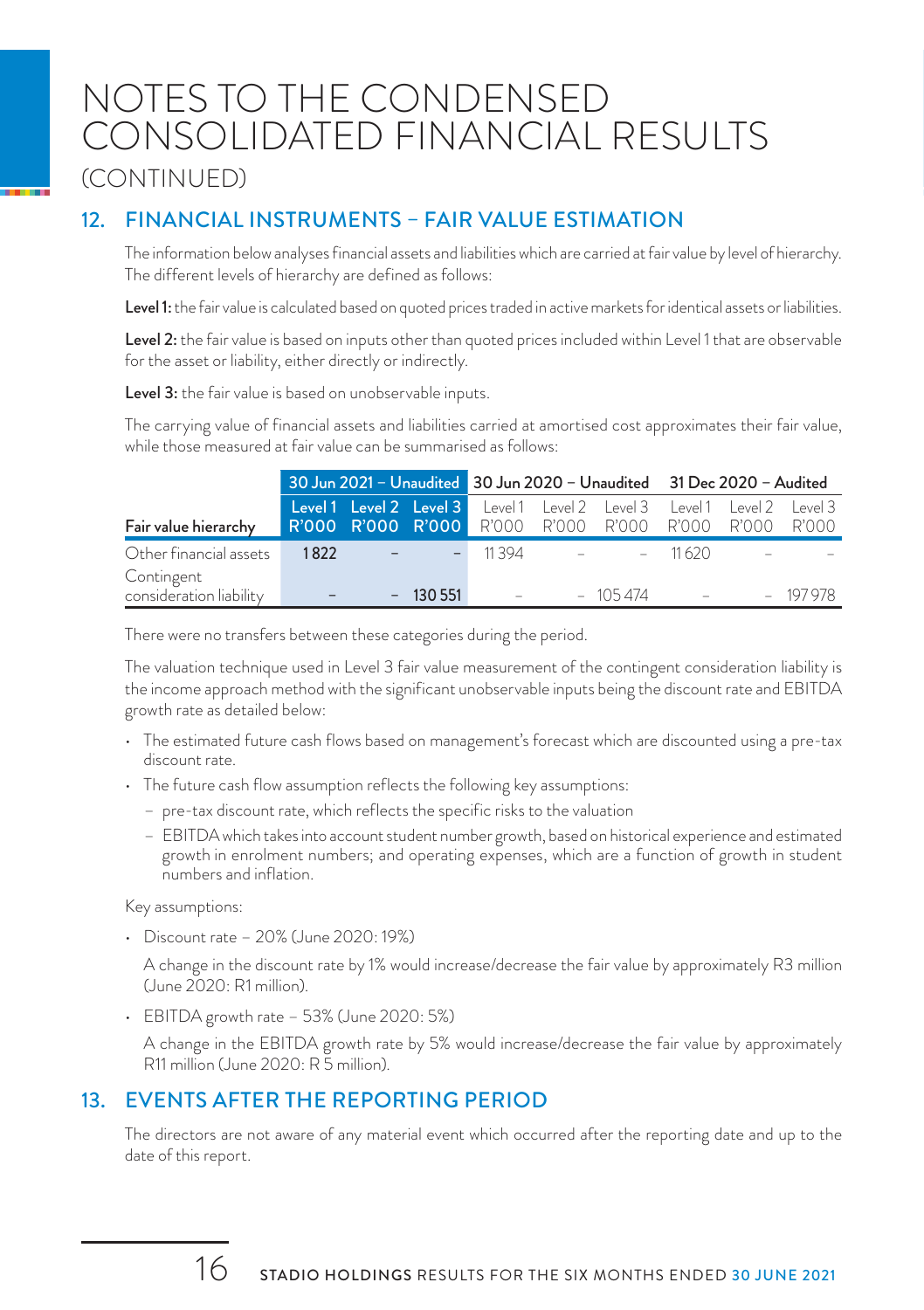### NOTES TO THE CONDENSED CONSOLIDATED FINANCIAL RESULTS (CONTINUED)

#### 12. FINANCIAL INSTRUMENTS – FAIR VALUE ESTIMATION

The information below analyses financial assets and liabilities which are carried at fair value by level of hierarchy. The different levels of hierarchy are defined as follows:

Level 1: the fair value is calculated based on quoted prices traded in active markets for identical assets or liabilities.

Level 2: the fair value is based on inputs other than quoted prices included within Level 1 that are observable for the asset or liability, either directly or indirectly.

Level 3: the fair value is based on unobservable inputs.

The carrying value of financial assets and liabilities carried at amortised cost approximates their fair value, while those measured at fair value can be summarised as follows:

|                                       |      |                          |           | 30 Jun 2021 - Unaudited 30 Jun 2020 - Unaudited 31 Dec 2020 - Audited                                                               |  |                  |  |  |           |
|---------------------------------------|------|--------------------------|-----------|-------------------------------------------------------------------------------------------------------------------------------------|--|------------------|--|--|-----------|
| Fair value hierarchy                  |      |                          |           | Level1 Level 2 Level 3 Level1 Level 2 Level 3 Level1 Level 2 Level 3<br>R'OOO R'OOO R'OOO R'OOO R'OOO R'OOO R'OOO R'OOO R'OOO R'OOO |  |                  |  |  |           |
| Other financial assets                | 1822 | All and the second state |           | $-11394$ $-11620$                                                                                                                   |  |                  |  |  |           |
| Contingent<br>consideration liability |      |                          | $-130551$ |                                                                                                                                     |  | $ -$ 105.474 $-$ |  |  | $-197978$ |

There were no transfers between these categories during the period.

The valuation technique used in Level 3 fair value measurement of the contingent consideration liability is the income approach method with the significant unobservable inputs being the discount rate and EBITDA growth rate as detailed below:

- The estimated future cash flows based on management's forecast which are discounted using a pre-tax discount rate.
- The future cash flow assumption reflects the following key assumptions:
	- pre-tax discount rate, which reflects the specific risks to the valuation
	- EBITDA which takes into account student number growth, based on historical experience and estimated growth in enrolment numbers; and operating expenses, which are a function of growth in student numbers and inflation.

Key assumptions:

• Discount rate – 20% (June 2020: 19%)

A change in the discount rate by 1% would increase/decrease the fair value by approximately R3 million (June 2020: R1 million).

• EBITDA growth rate – 53% (June 2020: 5%)

A change in the EBITDA growth rate by 5% would increase/decrease the fair value by approximately R11 million (June 2020: R 5 million).

#### 13. EVENTS AFTER THE REPORTING PERIOD

The directors are not aware of any material event which occurred after the reporting date and up to the date of this report.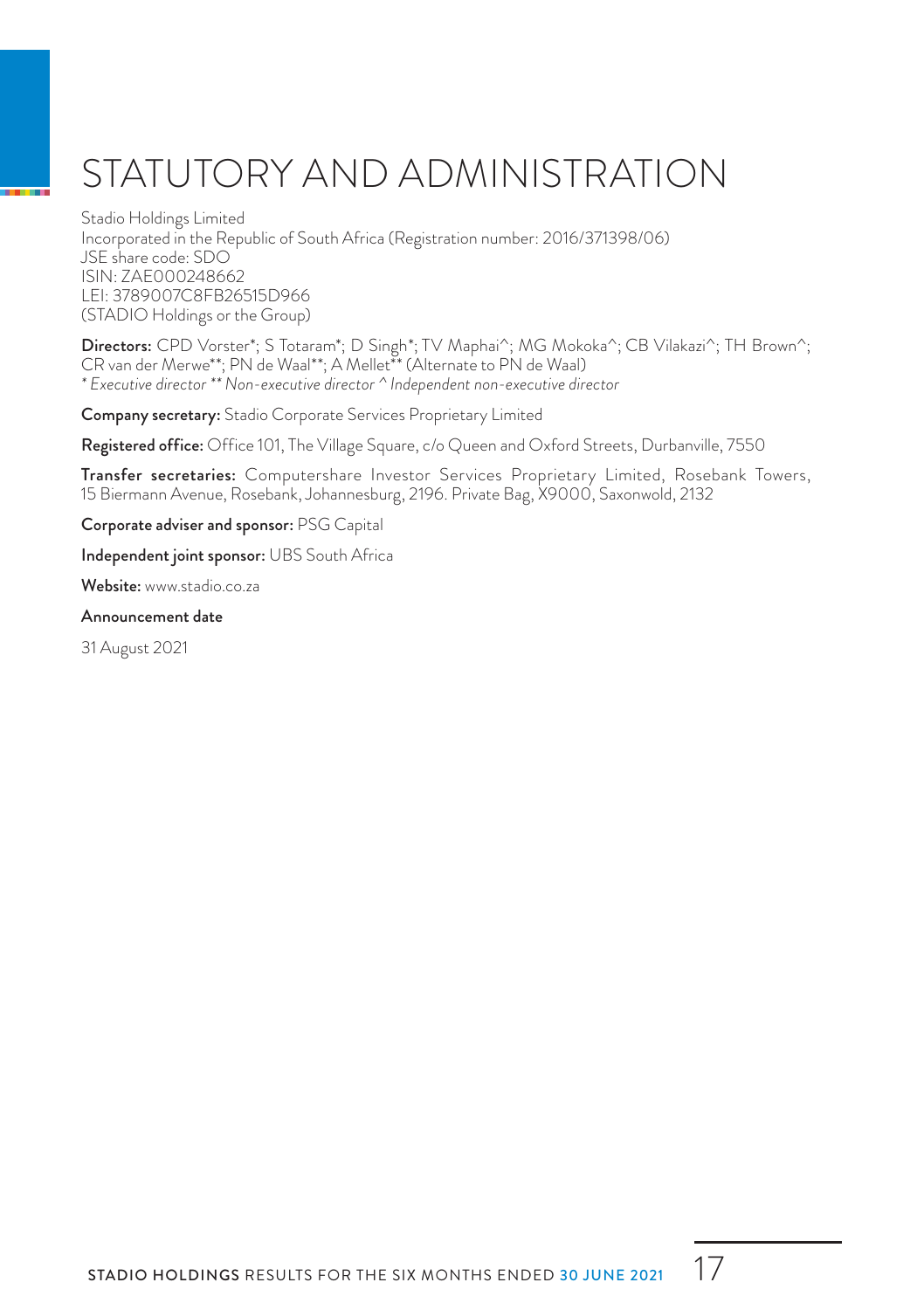# STATUTORY AND ADMINISTRATION

Stadio Holdings Limited Incorporated in the Republic of South Africa (Registration number: 2016/371398/06) JSE share code: SDO ISIN: ZAE000248662 LEI: 3789007C8FB26515D966 (STADIO Holdings or the Group)

Directors: CPD Vorster\*; S Totaram\*; D Singh\*; TV Maphai^; MG Mokoka^; CB Vilakazi^; TH Brown^; CR van der Merwe\*\*; PN de Waal\*\*; A Mellet\*\* (Alternate to PN de Waal) *\* Executive director \*\* Non-executive director ^ Independent non-executive director*

Company secretary: Stadio Corporate Services Proprietary Limited

Registered office: Office 101, The Village Square, c/o Queen and Oxford Streets, Durbanville, 7550

Transfer secretaries: Computershare Investor Services Proprietary Limited, Rosebank Towers, 15 Biermann Avenue, Rosebank, Johannesburg, 2196. Private Bag, X9000, Saxonwold, 2132

Corporate adviser and sponsor: PSG Capital

Independent joint sponsor: UBS South Africa

Website: www.stadio.co.za

#### Announcement date

31 August 2021